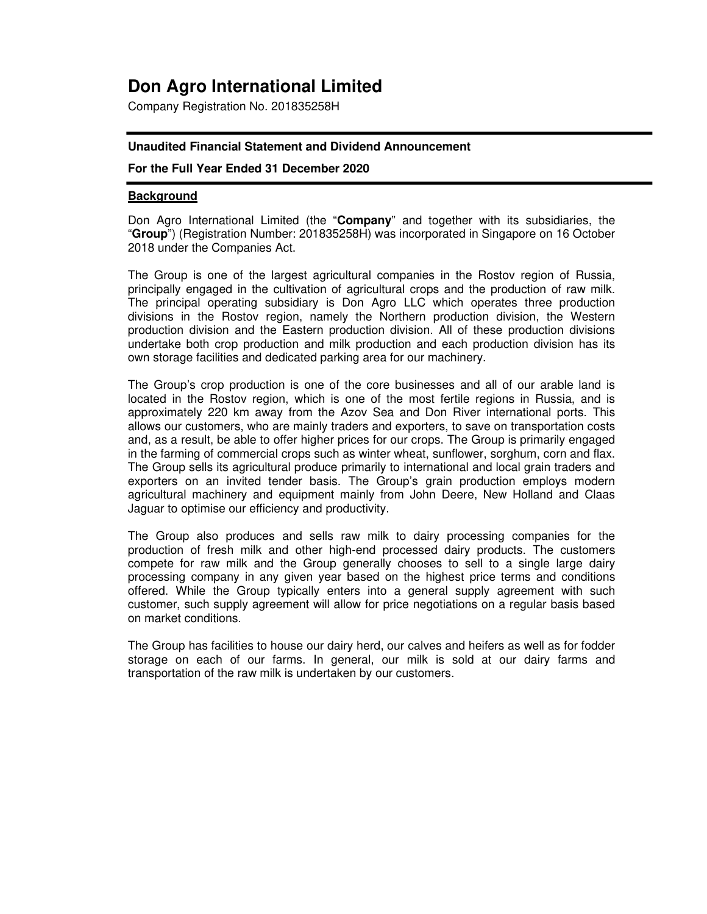# **Don Agro International Limited**

Company Registration No. 201835258H

#### **Unaudited Financial Statement and Dividend Announcement**

#### **For the Full Year Ended 31 December 2020**

#### **Background**

Don Agro International Limited (the "**Company**" and together with its subsidiaries, the "**Group**") (Registration Number: 201835258H) was incorporated in Singapore on 16 October 2018 under the Companies Act.

The Group is one of the largest agricultural companies in the Rostov region of Russia, principally engaged in the cultivation of agricultural crops and the production of raw milk. The principal operating subsidiary is Don Agro LLC which operates three production divisions in the Rostov region, namely the Northern production division, the Western production division and the Eastern production division. All of these production divisions undertake both crop production and milk production and each production division has its own storage facilities and dedicated parking area for our machinery.

The Group's crop production is one of the core businesses and all of our arable land is located in the Rostov region, which is one of the most fertile regions in Russia, and is approximately 220 km away from the Azov Sea and Don River international ports. This allows our customers, who are mainly traders and exporters, to save on transportation costs and, as a result, be able to offer higher prices for our crops. The Group is primarily engaged in the farming of commercial crops such as winter wheat, sunflower, sorghum, corn and flax. The Group sells its agricultural produce primarily to international and local grain traders and exporters on an invited tender basis. The Group's grain production employs modern agricultural machinery and equipment mainly from John Deere, New Holland and Claas Jaguar to optimise our efficiency and productivity.

The Group also produces and sells raw milk to dairy processing companies for the production of fresh milk and other high-end processed dairy products. The customers compete for raw milk and the Group generally chooses to sell to a single large dairy processing company in any given year based on the highest price terms and conditions offered. While the Group typically enters into a general supply agreement with such customer, such supply agreement will allow for price negotiations on a regular basis based on market conditions.

The Group has facilities to house our dairy herd, our calves and heifers as well as for fodder storage on each of our farms. In general, our milk is sold at our dairy farms and transportation of the raw milk is undertaken by our customers.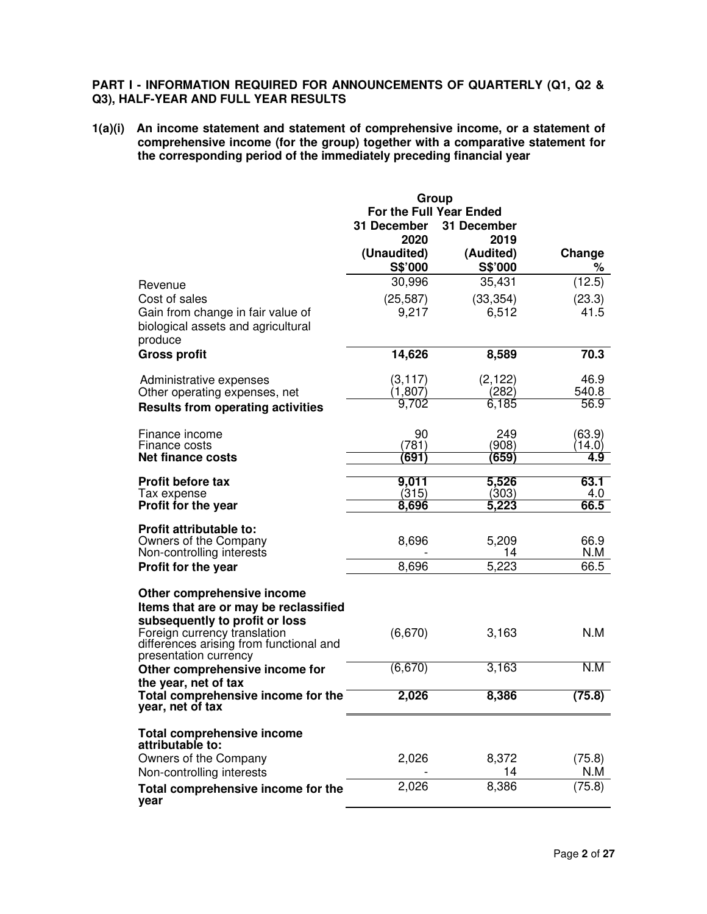# **PART I - INFORMATION REQUIRED FOR ANNOUNCEMENTS OF QUARTERLY (Q1, Q2 & Q3), HALF-YEAR AND FULL YEAR RESULTS**

**1(a)(i) An income statement and statement of comprehensive income, or a statement of comprehensive income (for the group) together with a comparative statement for the corresponding period of the immediately preceding financial year** 

|                                                                                                                                       | Group                   |                      |             |  |
|---------------------------------------------------------------------------------------------------------------------------------------|-------------------------|----------------------|-------------|--|
|                                                                                                                                       | For the Full Year Ended |                      |             |  |
|                                                                                                                                       | 31 December             | 31 December          |             |  |
|                                                                                                                                       | 2020                    | 2019                 |             |  |
|                                                                                                                                       | (Unaudited)<br>S\$'000  | (Audited)<br>S\$'000 | Change<br>℅ |  |
| Revenue                                                                                                                               | 30,996                  | 35,431               | (12.5)      |  |
| Cost of sales                                                                                                                         | (25, 587)               | (33, 354)            | (23.3)      |  |
| Gain from change in fair value of<br>biological assets and agricultural<br>produce                                                    | 9,217                   | 6,512                | 41.5        |  |
| <b>Gross profit</b>                                                                                                                   | 14,626                  | 8,589                | 70.3        |  |
| Administrative expenses                                                                                                               | (3, 117)                | (2, 122)             | 46.9        |  |
| Other operating expenses, net                                                                                                         | (1, 807)                | (282)                | 540.8       |  |
| <b>Results from operating activities</b>                                                                                              | 9,702                   | 6,185                | 56.9        |  |
| Finance income                                                                                                                        | 90                      | 249                  | (63.9)      |  |
| Finance costs                                                                                                                         | (781)                   | (908)                | (14.0)      |  |
| <b>Net finance costs</b>                                                                                                              | (691)                   | (659)                | 4.9         |  |
| <b>Profit before tax</b>                                                                                                              | 9,011                   | 5,526                | 63.1        |  |
| Tax expense                                                                                                                           | (315)                   | (303)                | 4.0<br>66.5 |  |
| Profit for the year                                                                                                                   | 8,696                   | 5,223                |             |  |
| <b>Profit attributable to:</b>                                                                                                        |                         |                      |             |  |
| Owners of the Company                                                                                                                 | 8,696                   | 5,209                | 66.9        |  |
| Non-controlling interests                                                                                                             |                         | 14                   | N.M         |  |
| Profit for the year                                                                                                                   | 8,696                   | 5,223                | 66.5        |  |
| Other comprehensive income<br>Items that are or may be reclassified<br>subsequently to profit or loss<br>Foreign currency translation | (6,670)                 | 3,163                | N.M         |  |
| differences arising from functional and<br>presentation currency                                                                      |                         |                      |             |  |
| Other comprehensive income for                                                                                                        | (6,670)                 | 3,163                | N.M         |  |
| the year, net of tax<br>Total comprehensive income for the<br>year, net of tax                                                        | 2,026                   | 8,386                | (75.8)      |  |
| <b>Total comprehensive income</b><br>attributable to:                                                                                 |                         |                      |             |  |
| Owners of the Company                                                                                                                 | 2,026                   | 8,372                | (75.8)      |  |
| Non-controlling interests                                                                                                             |                         | 14                   | N.M         |  |
| Total comprehensive income for the<br>year                                                                                            | 2,026                   | 8,386                | (75.8)      |  |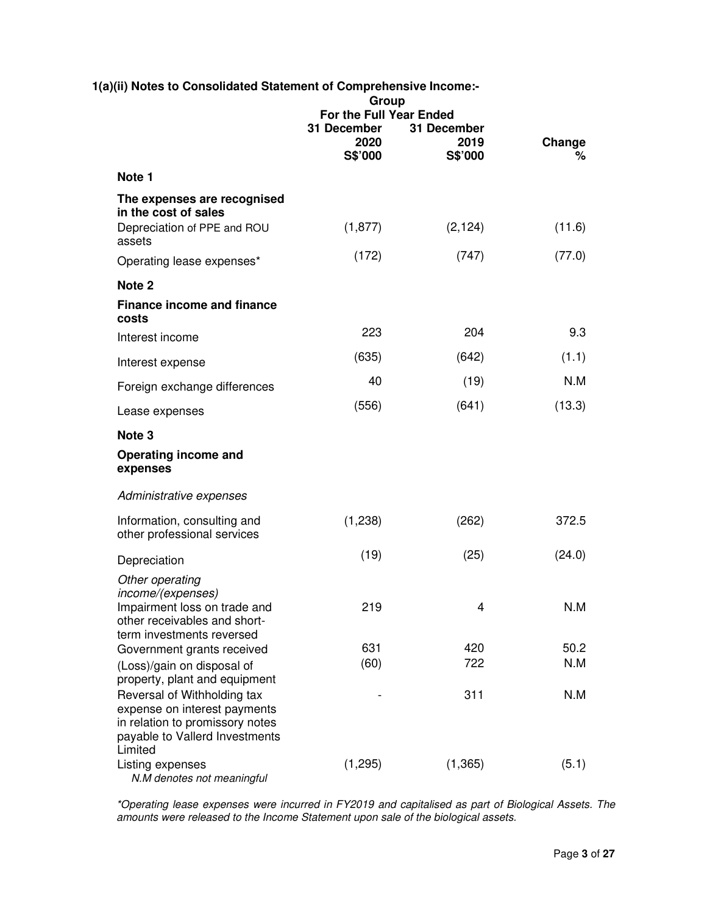|                                                                                                                | 1(a)(ii) Notes to Consolidated Statement of Comprehensive Income:-<br>Group |                                |             |  |
|----------------------------------------------------------------------------------------------------------------|-----------------------------------------------------------------------------|--------------------------------|-------------|--|
|                                                                                                                | For the Full Year Ended                                                     |                                |             |  |
|                                                                                                                | 31 December<br>2020<br>S\$'000                                              | 31 December<br>2019<br>S\$'000 | Change<br>% |  |
| Note 1                                                                                                         |                                                                             |                                |             |  |
| The expenses are recognised<br>in the cost of sales                                                            |                                                                             |                                |             |  |
| Depreciation of PPE and ROU<br>assets                                                                          | (1, 877)                                                                    | (2, 124)                       | (11.6)      |  |
| Operating lease expenses*                                                                                      | (172)                                                                       | (747)                          | (77.0)      |  |
| Note 2                                                                                                         |                                                                             |                                |             |  |
| <b>Finance income and finance</b><br>costs                                                                     |                                                                             |                                |             |  |
| Interest income                                                                                                | 223                                                                         | 204                            | 9.3         |  |
| Interest expense                                                                                               | (635)                                                                       | (642)                          | (1.1)       |  |
| Foreign exchange differences                                                                                   | 40                                                                          | (19)                           | N.M         |  |
| Lease expenses                                                                                                 | (556)                                                                       | (641)                          | (13.3)      |  |
| Note 3                                                                                                         |                                                                             |                                |             |  |
| Operating income and<br>expenses                                                                               |                                                                             |                                |             |  |
| Administrative expenses                                                                                        |                                                                             |                                |             |  |
| Information, consulting and<br>other professional services                                                     | (1,238)                                                                     | (262)                          | 372.5       |  |
| Depreciation                                                                                                   | (19)                                                                        | (25)                           | (24.0)      |  |
| Other operating                                                                                                |                                                                             |                                |             |  |
| income/(expenses)<br>Impairment loss on trade and<br>other receivables and short-<br>term investments reversed | 219                                                                         | 4                              | N.M         |  |
| Government grants received                                                                                     | 631                                                                         | 420                            | 50.2        |  |
| (Loss)/gain on disposal of<br>property, plant and equipment                                                    | (60)                                                                        | 722                            | N.M         |  |
| Reversal of Withholding tax                                                                                    |                                                                             | 311                            | N.M         |  |
| expense on interest payments<br>in relation to promissory notes                                                |                                                                             |                                |             |  |
| payable to Vallerd Investments<br>Limited                                                                      |                                                                             |                                |             |  |
| Listing expenses<br>N.M denotes not meaningful                                                                 | (1,295)                                                                     | (1, 365)                       | (5.1)       |  |

*\*Operating lease expenses were incurred in FY2019 and capitalised as part of Biological Assets. The amounts were released to the Income Statement upon sale of the biological assets.*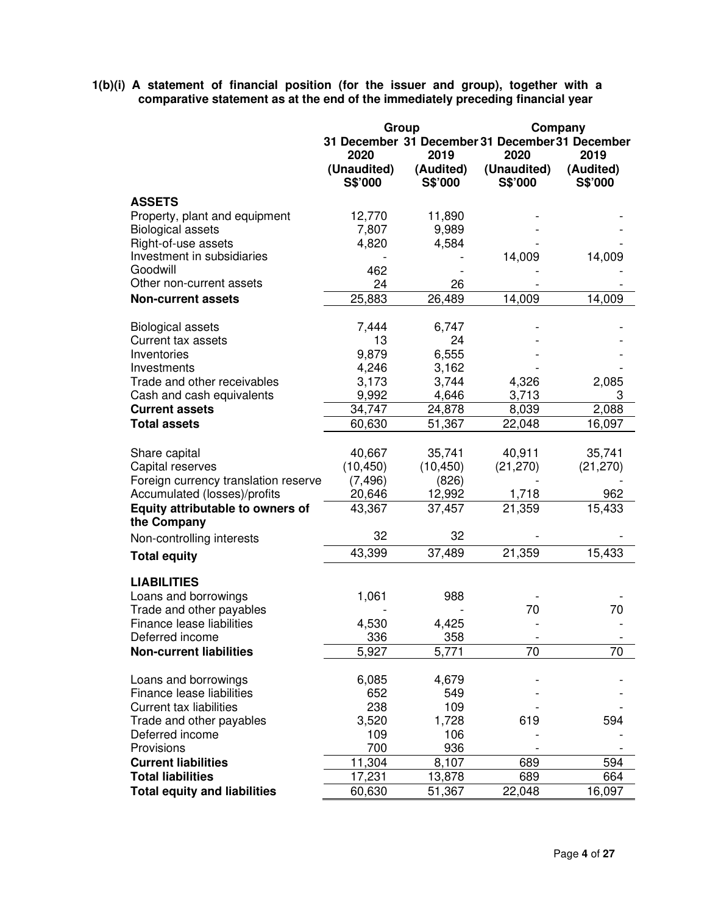**1(b)(i) A statement of financial position (for the issuer and group), together with a comparative statement as at the end of the immediately preceding financial year** 

|                                      | Group<br>Company |           |                                                 |           |
|--------------------------------------|------------------|-----------|-------------------------------------------------|-----------|
|                                      |                  |           | 31 December 31 December 31 December 31 December |           |
|                                      | 2020             | 2019      | 2020                                            | 2019      |
|                                      | (Unaudited)      | (Audited) | (Unaudited)                                     | (Audited) |
|                                      | S\$'000          | S\$'000   | S\$'000                                         | S\$'000   |
| <b>ASSETS</b>                        |                  |           |                                                 |           |
| Property, plant and equipment        | 12,770           | 11,890    |                                                 |           |
| <b>Biological assets</b>             | 7,807            | 9,989     |                                                 |           |
| Right-of-use assets                  | 4,820            | 4,584     |                                                 |           |
| Investment in subsidiaries           |                  |           | 14,009                                          | 14,009    |
| Goodwill<br>Other non-current assets | 462              |           |                                                 |           |
|                                      | 24               | 26        |                                                 |           |
| <b>Non-current assets</b>            | 25,883           | 26,489    | 14,009                                          | 14,009    |
| <b>Biological assets</b>             | 7,444            | 6,747     |                                                 |           |
| Current tax assets                   | 13               | 24        |                                                 |           |
| Inventories                          | 9,879            | 6,555     |                                                 |           |
| Investments                          | 4,246            | 3,162     |                                                 |           |
| Trade and other receivables          | 3,173            | 3,744     | 4,326                                           | 2,085     |
| Cash and cash equivalents            | 9,992            | 4,646     | 3,713                                           | 3         |
| <b>Current assets</b>                | 34,747           | 24,878    | 8,039                                           | 2,088     |
| <b>Total assets</b>                  | 60,630           | 51,367    | 22,048                                          | 16,097    |
|                                      |                  |           |                                                 |           |
| Share capital                        | 40,667           | 35,741    | 40,911                                          | 35,741    |
| Capital reserves                     | (10, 450)        | (10, 450) | (21, 270)                                       | (21, 270) |
| Foreign currency translation reserve | (7, 496)         | (826)     |                                                 |           |
| Accumulated (losses)/profits         | 20,646           | 12,992    | 1,718                                           | 962       |
| Equity attributable to owners of     | 43,367           | 37,457    | 21,359                                          | 15,433    |
| the Company                          | 32               | 32        |                                                 |           |
| Non-controlling interests            |                  |           |                                                 |           |
| <b>Total equity</b>                  | 43,399           | 37,489    | 21,359                                          | 15,433    |
| <b>LIABILITIES</b>                   |                  |           |                                                 |           |
| Loans and borrowings                 | 1,061            | 988       |                                                 |           |
| Trade and other payables             |                  |           | 70                                              | 70        |
| Finance lease liabilities            | 4,530            | 4,425     |                                                 |           |
| Deferred income                      | 336              | 358       |                                                 |           |
| <b>Non-current liabilities</b>       | 5,927            | 5,771     | 70                                              | 70        |
|                                      |                  |           |                                                 |           |
| Loans and borrowings                 | 6,085            | 4,679     |                                                 |           |
| Finance lease liabilities            | 652              | 549       |                                                 |           |
| <b>Current tax liabilities</b>       | 238              | 109       |                                                 |           |
| Trade and other payables             | 3,520            | 1,728     | 619                                             | 594       |
| Deferred income                      | 109              | 106       |                                                 |           |
| Provisions                           | 700              | 936       |                                                 |           |
| <b>Current liabilities</b>           | 11,304           | 8.107     | 689                                             | 594       |
| <b>Total liabilities</b>             | 17,231           | 13,878    | 689                                             | 664       |
| <b>Total equity and liabilities</b>  | 60,630           | 51,367    | 22,048                                          | 16,097    |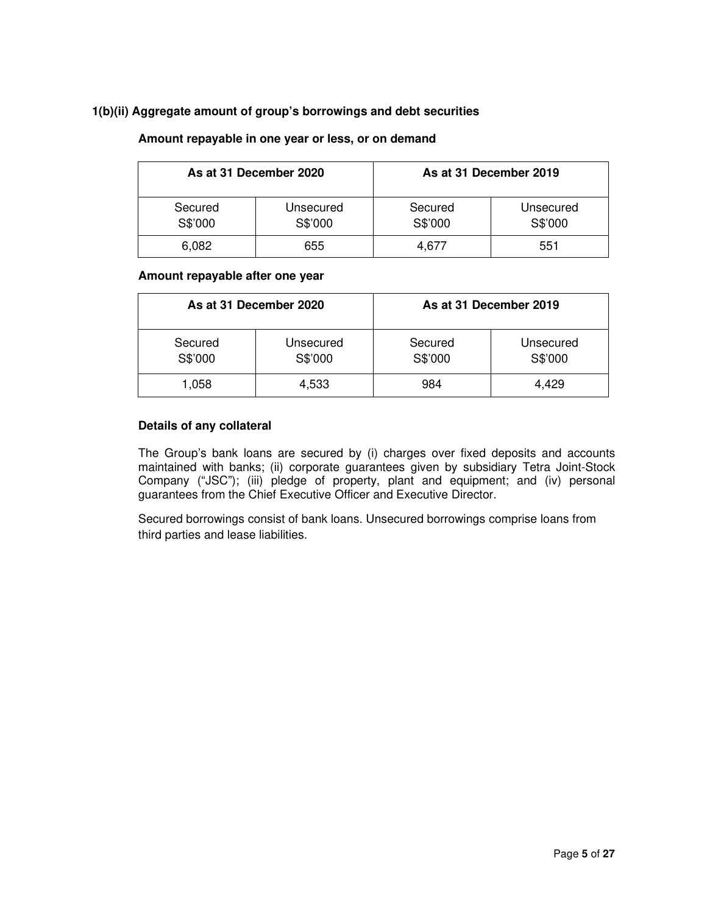#### **1(b)(ii) Aggregate amount of group's borrowings and debt securities**

| As at 31 December 2020 |                      |                    | As at 31 December 2019 |
|------------------------|----------------------|--------------------|------------------------|
| Secured<br>S\$'000     | Unsecured<br>S\$'000 | Secured<br>S\$'000 | Unsecured<br>S\$'000   |
| 6.082                  | 655                  | 4.677              | 551                    |

#### **Amount repayable in one year or less, or on demand**

#### **Amount repayable after one year**

| As at 31 December 2020 |                      |                    | As at 31 December 2019 |
|------------------------|----------------------|--------------------|------------------------|
| Secured<br>S\$'000     | Unsecured<br>S\$'000 | Secured<br>S\$'000 | Unsecured<br>S\$'000   |
| 1,058                  | 4,533                | 984                | 4.429                  |

#### **Details of any collateral**

The Group's bank loans are secured by (i) charges over fixed deposits and accounts maintained with banks; (ii) corporate guarantees given by subsidiary Tetra Joint-Stock Company ("JSC"); (iii) pledge of property, plant and equipment; and (iv) personal guarantees from the Chief Executive Officer and Executive Director.

Secured borrowings consist of bank loans. Unsecured borrowings comprise loans from third parties and lease liabilities.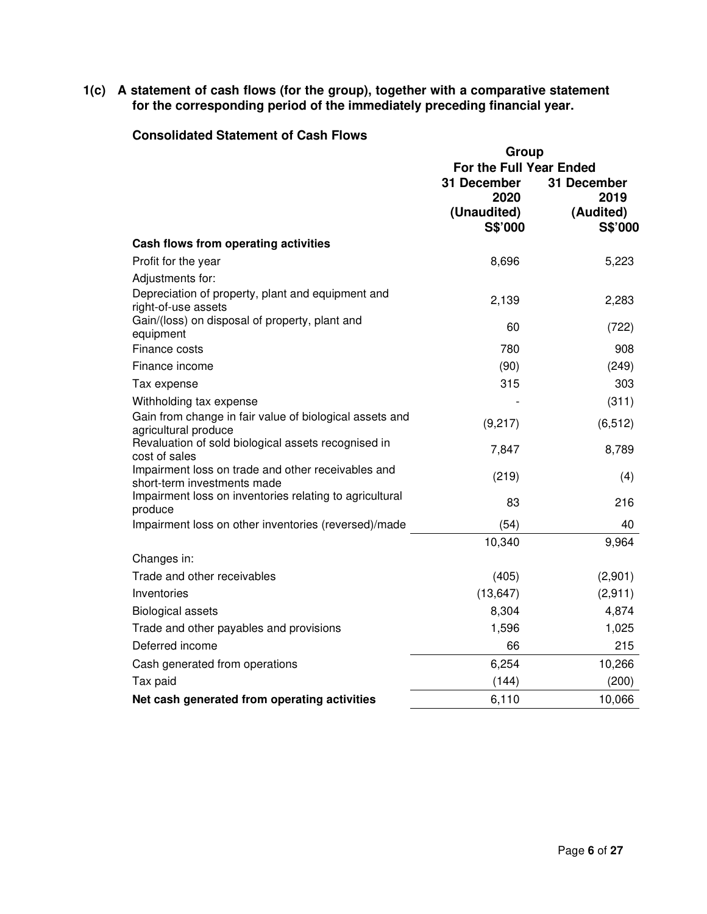**1(c) A statement of cash flows (for the group), together with a comparative statement for the corresponding period of the immediately preceding financial year.** 

#### **Consolidated Statement of Cash Flows**

|                                                                             | Group                   |             |  |
|-----------------------------------------------------------------------------|-------------------------|-------------|--|
|                                                                             | For the Full Year Ended |             |  |
|                                                                             | 31 December             | 31 December |  |
|                                                                             | 2020                    | 2019        |  |
|                                                                             | (Unaudited)             | (Audited)   |  |
|                                                                             | S\$'000                 | S\$'000     |  |
| Cash flows from operating activities                                        |                         |             |  |
| Profit for the year                                                         | 8,696                   | 5,223       |  |
| Adjustments for:                                                            |                         |             |  |
| Depreciation of property, plant and equipment and                           | 2,139                   | 2,283       |  |
| right-of-use assets<br>Gain/(loss) on disposal of property, plant and       |                         |             |  |
| equipment                                                                   | 60                      | (722)       |  |
| Finance costs                                                               | 780                     | 908         |  |
| Finance income                                                              | (90)                    | (249)       |  |
| Tax expense                                                                 | 315                     | 303         |  |
| Withholding tax expense                                                     |                         | (311)       |  |
| Gain from change in fair value of biological assets and                     | (9,217)                 | (6, 512)    |  |
| agricultural produce<br>Revaluation of sold biological assets recognised in |                         |             |  |
| cost of sales                                                               | 7,847                   | 8,789       |  |
| Impairment loss on trade and other receivables and                          | (219)                   | (4)         |  |
| short-term investments made                                                 |                         |             |  |
| Impairment loss on inventories relating to agricultural<br>produce          | 83                      | 216         |  |
| Impairment loss on other inventories (reversed)/made                        | (54)                    | 40          |  |
|                                                                             | 10,340                  | 9,964       |  |
| Changes in:                                                                 |                         |             |  |
| Trade and other receivables                                                 | (405)                   | (2,901)     |  |
| Inventories                                                                 | (13, 647)               | (2,911)     |  |
| <b>Biological assets</b>                                                    | 8,304                   | 4,874       |  |
| Trade and other payables and provisions                                     | 1,596                   | 1,025       |  |
| Deferred income                                                             | 66                      | 215         |  |
| Cash generated from operations                                              | 6,254                   | 10,266      |  |
| Tax paid                                                                    | (144)                   | (200)       |  |
| Net cash generated from operating activities                                | 6,110                   | 10,066      |  |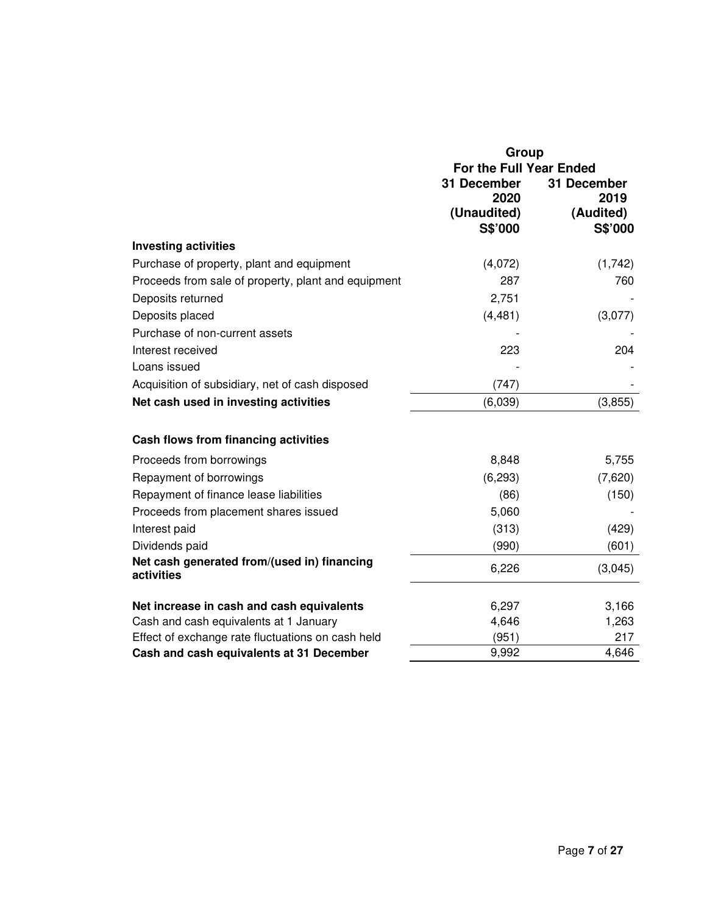|                                                           | Group                   |             |  |  |
|-----------------------------------------------------------|-------------------------|-------------|--|--|
|                                                           | For the Full Year Ended |             |  |  |
|                                                           | 31 December             | 31 December |  |  |
|                                                           | 2020                    | 2019        |  |  |
|                                                           | (Unaudited)             | (Audited)   |  |  |
|                                                           | S\$'000                 | S\$'000     |  |  |
| <b>Investing activities</b>                               |                         |             |  |  |
| Purchase of property, plant and equipment                 | (4,072)                 | (1,742)     |  |  |
| Proceeds from sale of property, plant and equipment       | 287                     | 760         |  |  |
| Deposits returned                                         | 2,751                   |             |  |  |
| Deposits placed                                           | (4, 481)                | (3,077)     |  |  |
| Purchase of non-current assets                            |                         |             |  |  |
| Interest received                                         | 223                     | 204         |  |  |
| Loans issued                                              |                         |             |  |  |
| Acquisition of subsidiary, net of cash disposed           | (747)                   |             |  |  |
| Net cash used in investing activities                     | (6,039)                 | (3,855)     |  |  |
|                                                           |                         |             |  |  |
| Cash flows from financing activities                      |                         |             |  |  |
| Proceeds from borrowings                                  | 8,848                   | 5,755       |  |  |
| Repayment of borrowings                                   | (6, 293)                | (7,620)     |  |  |
| Repayment of finance lease liabilities                    | (86)                    | (150)       |  |  |
| Proceeds from placement shares issued                     | 5,060                   |             |  |  |
| Interest paid                                             | (313)                   | (429)       |  |  |
| Dividends paid                                            | (990)                   | (601)       |  |  |
| Net cash generated from/(used in) financing<br>activities | 6,226                   | (3,045)     |  |  |
|                                                           |                         |             |  |  |
| Net increase in cash and cash equivalents                 | 6,297                   | 3,166       |  |  |
| Cash and cash equivalents at 1 January                    | 4,646                   | 1,263       |  |  |
| Effect of exchange rate fluctuations on cash held         | (951)                   | 217         |  |  |
| Cash and cash equivalents at 31 December                  | 9,992                   | 4,646       |  |  |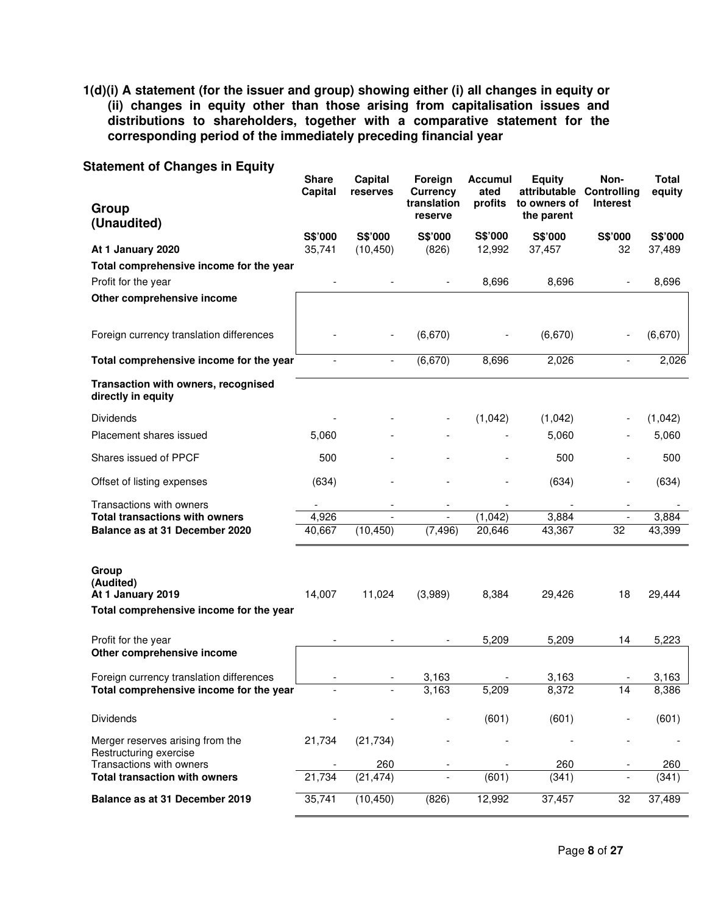**1(d)(i) A statement (for the issuer and group) showing either (i) all changes in equity or (ii) changes in equity other than those arising from capitalisation issues and distributions to shareholders, together with a comparative statement for the corresponding period of the immediately preceding financial year** 

| <b>Dialement of Changes in Equity</b><br>Group<br>(Unaudited)                      | <b>Share</b><br>Capital | Capital<br>reserves         | Foreign<br><b>Currency</b><br>translation<br>reserve | Accumul<br>ated<br>profits | <b>Equity</b><br>attributable<br>to owners of<br>the parent | Non-<br>Controlling<br><b>Interest</b> | Total<br>equity |
|------------------------------------------------------------------------------------|-------------------------|-----------------------------|------------------------------------------------------|----------------------------|-------------------------------------------------------------|----------------------------------------|-----------------|
|                                                                                    | S\$'000                 | S\$'000                     | S\$'000                                              | S\$'000                    | S\$'000                                                     | S\$'000                                | S\$'000         |
| At 1 January 2020<br>Total comprehensive income for the year                       | 35,741                  | (10, 450)                   | (826)                                                | 12,992                     | 37,457                                                      | 32                                     | 37,489          |
| Profit for the year                                                                |                         |                             |                                                      | 8,696                      | 8,696                                                       |                                        | 8,696           |
| Other comprehensive income                                                         |                         |                             |                                                      |                            |                                                             |                                        |                 |
| Foreign currency translation differences                                           |                         |                             | (6,670)                                              |                            | (6,670)                                                     |                                        | (6,670)         |
| Total comprehensive income for the year                                            |                         |                             | (6,670)                                              | 8,696                      | 2,026                                                       |                                        | 2,026           |
| Transaction with owners, recognised<br>directly in equity                          |                         |                             |                                                      |                            |                                                             |                                        |                 |
| <b>Dividends</b>                                                                   |                         |                             |                                                      | (1,042)                    | (1,042)                                                     |                                        | (1,042)         |
| Placement shares issued                                                            | 5,060                   |                             |                                                      |                            | 5,060                                                       |                                        | 5,060           |
| Shares issued of PPCF                                                              | 500                     |                             |                                                      |                            | 500                                                         |                                        | 500             |
| Offset of listing expenses                                                         | (634)                   |                             |                                                      |                            | (634)                                                       | $\overline{\phantom{a}}$               | (634)           |
| Transactions with owners                                                           |                         |                             |                                                      |                            |                                                             |                                        |                 |
| <b>Total transactions with owners</b><br>Balance as at 31 December 2020            | 4,926<br>40,667         | $\overline{a}$<br>(10, 450) | $\blacksquare$<br>(7, 496)                           | (1,042)<br>20,646          | 3,884<br>43,367                                             | $\overline{\phantom{a}}$<br>32         | 3,884<br>43,399 |
|                                                                                    |                         |                             |                                                      |                            |                                                             |                                        |                 |
| Group<br>(Audited)<br>At 1 January 2019<br>Total comprehensive income for the year | 14,007                  | 11,024                      | (3,989)                                              | 8,384                      | 29,426                                                      | 18                                     | 29,444          |
| Profit for the year                                                                |                         |                             |                                                      | 5,209                      | 5,209                                                       | 14                                     | 5,223           |
| Other comprehensive income                                                         |                         |                             |                                                      |                            |                                                             |                                        |                 |
| Foreign currency translation differences                                           |                         |                             | 3,163                                                |                            | 3,163                                                       |                                        | 3,163           |
| Total comprehensive income for the year                                            |                         |                             | 3,163                                                | 5,209                      | 8,372                                                       | 14                                     | 8,386           |
| <b>Dividends</b>                                                                   |                         |                             |                                                      | (601)                      | (601)                                                       |                                        | (601)           |
| Merger reserves arising from the<br>Restructuring exercise                         | 21,734                  | (21, 734)                   |                                                      |                            |                                                             |                                        |                 |
| Transactions with owners                                                           |                         | 260                         |                                                      |                            | 260                                                         |                                        | 260             |
| <b>Total transaction with owners</b>                                               | 21,734                  | (21, 474)                   |                                                      | (601)                      | (341)                                                       |                                        | (341)           |
| Balance as at 31 December 2019                                                     | 35,741                  | (10, 450)                   | (826)                                                | 12,992                     | 37,457                                                      | 32                                     | 37,489          |

# **Statement of Changes in Equity**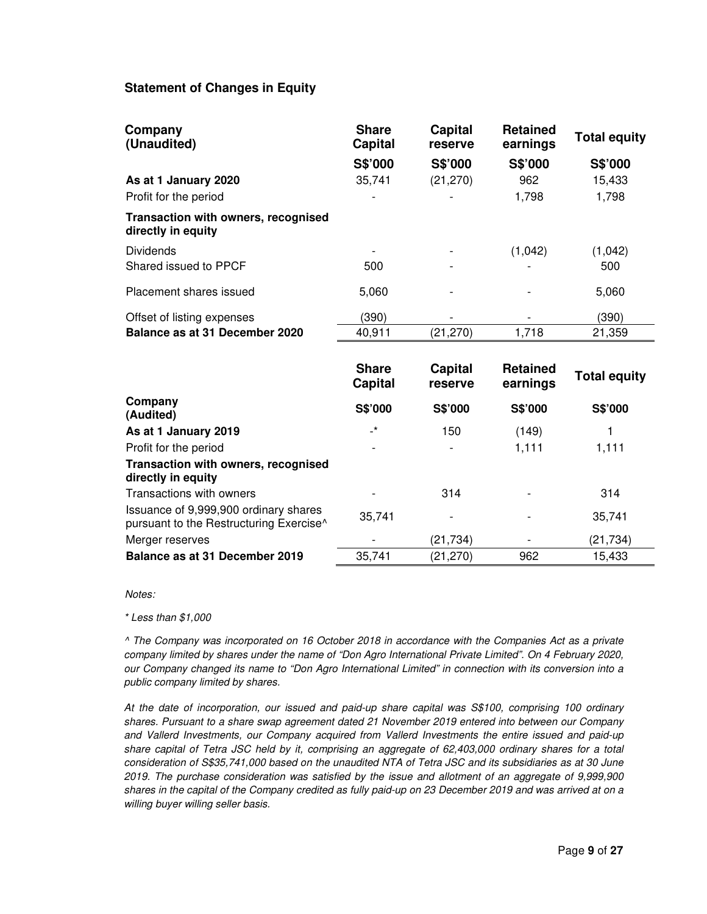# **Statement of Changes in Equity**

| Company<br>(Unaudited)                                    | <b>Share</b><br>Capital | <b>Capital</b><br>reserve | <b>Retained</b><br>earnings | <b>Total equity</b> |
|-----------------------------------------------------------|-------------------------|---------------------------|-----------------------------|---------------------|
|                                                           | S\$'000                 | S\$'000                   | S\$'000                     | S\$'000             |
| As at 1 January 2020                                      | 35,741                  | (21, 270)                 | 962                         | 15,433              |
| Profit for the period                                     |                         |                           | 1,798                       | 1,798               |
| Transaction with owners, recognised<br>directly in equity |                         |                           |                             |                     |
| <b>Dividends</b>                                          |                         |                           | (1,042)                     | (1,042)             |
| Shared issued to PPCF                                     | 500                     |                           |                             | 500                 |
| Placement shares issued                                   | 5.060                   |                           |                             | 5,060               |
| Offset of listing expenses                                | (390)                   |                           |                             | (390)               |
| Balance as at 31 December 2020                            | 40,911                  | (21, 270)                 | 1,718                       | 21,359              |

|                                                                                              | <b>Share</b><br>Capital | Capital<br>reserve | <b>Retained</b><br>earnings | <b>Total equity</b> |
|----------------------------------------------------------------------------------------------|-------------------------|--------------------|-----------------------------|---------------------|
| Company<br>(Audited)                                                                         | S\$'000                 | <b>S\$'000</b>     | S\$'000                     | <b>S\$'000</b>      |
| As at 1 January 2019                                                                         | $\mathbf{r}^{\star}$    | 150                | (149)                       | 1                   |
| Profit for the period                                                                        |                         |                    | 1,111                       | 1.111               |
| Transaction with owners, recognised<br>directly in equity                                    |                         |                    |                             |                     |
| Transactions with owners                                                                     |                         | 314                |                             | 314                 |
| Issuance of 9,999,900 ordinary shares<br>pursuant to the Restructuring Exercise <sup>^</sup> | 35.741                  |                    |                             | 35,741              |
| Merger reserves                                                                              |                         | (21, 734)          |                             | (21, 734)           |
| Balance as at 31 December 2019                                                               | 35,741                  | (21, 270)          | 962                         | 15,433              |

*Notes:* 

 *\* Less than \$1,000* 

*^ The Company was incorporated on 16 October 2018 in accordance with the Companies Act as a private company limited by shares under the name of "Don Agro International Private Limited". On 4 February 2020, our Company changed its name to "Don Agro International Limited" in connection with its conversion into a public company limited by shares.* 

*At the date of incorporation, our issued and paid-up share capital was S\$100, comprising 100 ordinary shares. Pursuant to a share swap agreement dated 21 November 2019 entered into between our Company and Vallerd Investments, our Company acquired from Vallerd Investments the entire issued and paid-up share capital of Tetra JSC held by it, comprising an aggregate of 62,403,000 ordinary shares for a total consideration of S\$35,741,000 based on the unaudited NTA of Tetra JSC and its subsidiaries as at 30 June 2019. The purchase consideration was satisfied by the issue and allotment of an aggregate of 9,999,900 shares in the capital of the Company credited as fully paid-up on 23 December 2019 and was arrived at on a willing buyer willing seller basis.*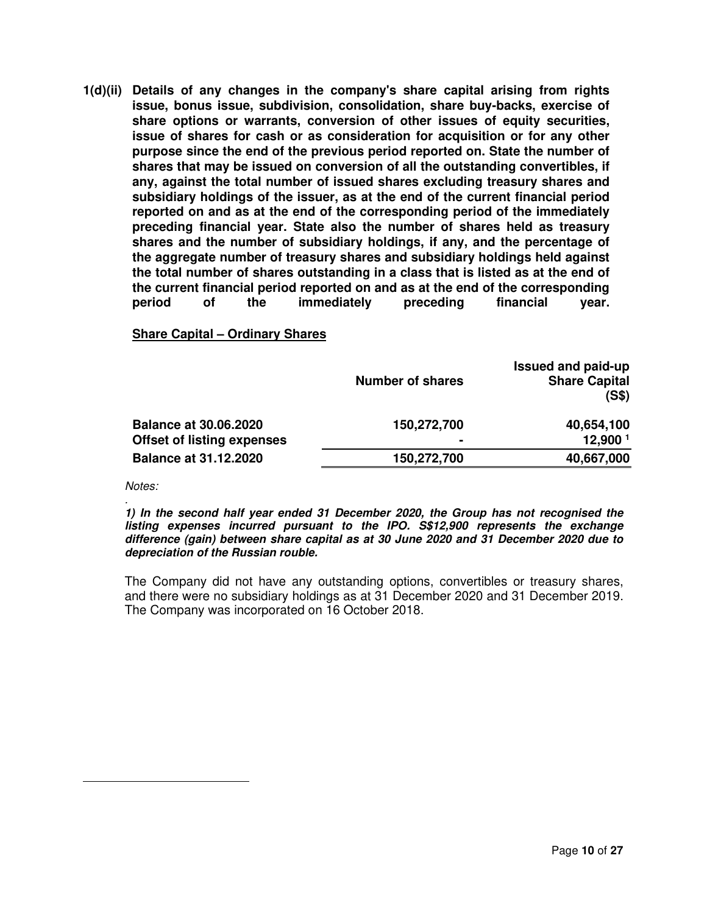**1(d)(ii) Details of any changes in the company's share capital arising from rights issue, bonus issue, subdivision, consolidation, share buy-backs, exercise of share options or warrants, conversion of other issues of equity securities, issue of shares for cash or as consideration for acquisition or for any other purpose since the end of the previous period reported on. State the number of shares that may be issued on conversion of all the outstanding convertibles, if any, against the total number of issued shares excluding treasury shares and subsidiary holdings of the issuer, as at the end of the current financial period reported on and as at the end of the corresponding period of the immediately preceding financial year. State also the number of shares held as treasury shares and the number of subsidiary holdings, if any, and the percentage of the aggregate number of treasury shares and subsidiary holdings held against the total number of shares outstanding in a class that is listed as at the end of the current financial period reported on and as at the end of the corresponding period of the immediately preceding financial year.**

**Share Capital – Ordinary Shares** 

|                                   | <b>Number of shares</b> | Issued and paid-up<br><b>Share Capital</b><br>(S\$) |
|-----------------------------------|-------------------------|-----------------------------------------------------|
| <b>Balance at 30.06.2020</b>      | 150,272,700             | 40,654,100                                          |
| <b>Offset of listing expenses</b> |                         | 12,900 <sup>1</sup>                                 |
| <b>Balance at 31.12.2020</b>      | 150,272,700             | 40,667,000                                          |

*Notes:* 

*.*

**1) In the second half year ended 31 December 2020, the Group has not recognised the listing expenses incurred pursuant to the IPO. S\$12,900 represents the exchange difference (gain) between share capital as at 30 June 2020 and 31 December 2020 due to depreciation of the Russian rouble.** 

The Company did not have any outstanding options, convertibles or treasury shares, and there were no subsidiary holdings as at 31 December 2020 and 31 December 2019. The Company was incorporated on 16 October 2018.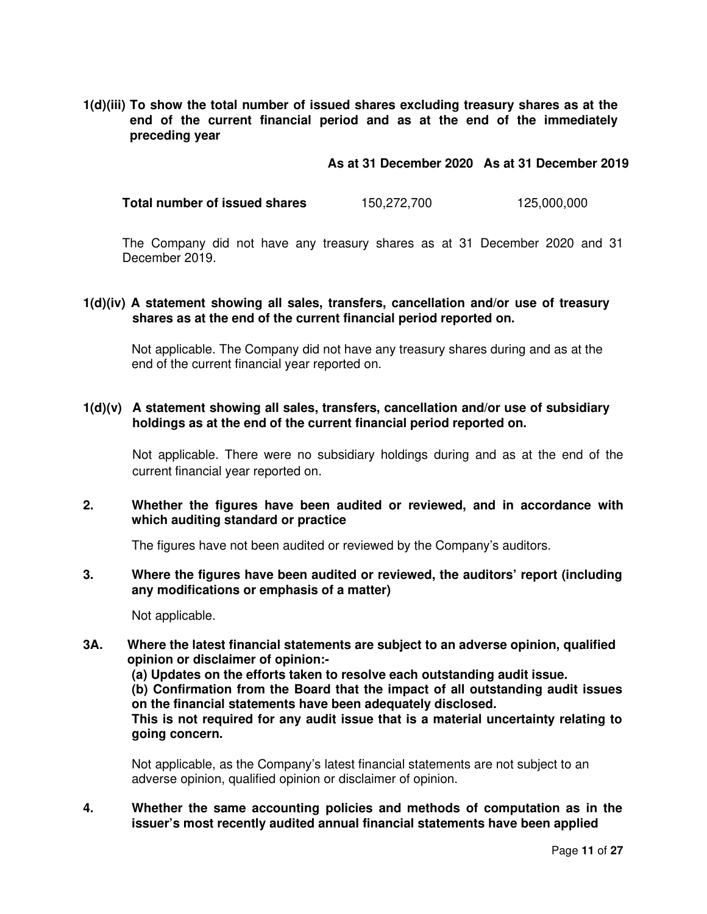**1(d)(iii) To show the total number of issued shares excluding treasury shares as at the end of the current financial period and as at the end of the immediately preceding year** 

**As at 31 December 2020 As at 31 December 2019**

**Total number of issued shares** 150,272,700 125,000,000

The Company did not have any treasury shares as at 31 December 2020 and 31 December 2019.

#### **1(d)(iv) A statement showing all sales, transfers, cancellation and/or use of treasury shares as at the end of the current financial period reported on.**

Not applicable. The Company did not have any treasury shares during and as at the end of the current financial year reported on.

#### **1(d)(v) A statement showing all sales, transfers, cancellation and/or use of subsidiary holdings as at the end of the current financial period reported on.**

 Not applicable. There were no subsidiary holdings during and as at the end of the current financial year reported on.

#### **2. Whether the figures have been audited or reviewed, and in accordance with which auditing standard or practice**

The figures have not been audited or reviewed by the Company's auditors.

#### **3. Where the figures have been audited or reviewed, the auditors' report (including any modifications or emphasis of a matter)**

Not applicable.

**3A. Where the latest financial statements are subject to an adverse opinion, qualified opinion or disclaimer of opinion:-** 

**(a) Updates on the efforts taken to resolve each outstanding audit issue.** 

**(b) Confirmation from the Board that the impact of all outstanding audit issues on the financial statements have been adequately disclosed.** 

**This is not required for any audit issue that is a material uncertainty relating to going concern.** 

Not applicable, as the Company's latest financial statements are not subject to an adverse opinion, qualified opinion or disclaimer of opinion.

**4. Whether the same accounting policies and methods of computation as in the issuer's most recently audited annual financial statements have been applied**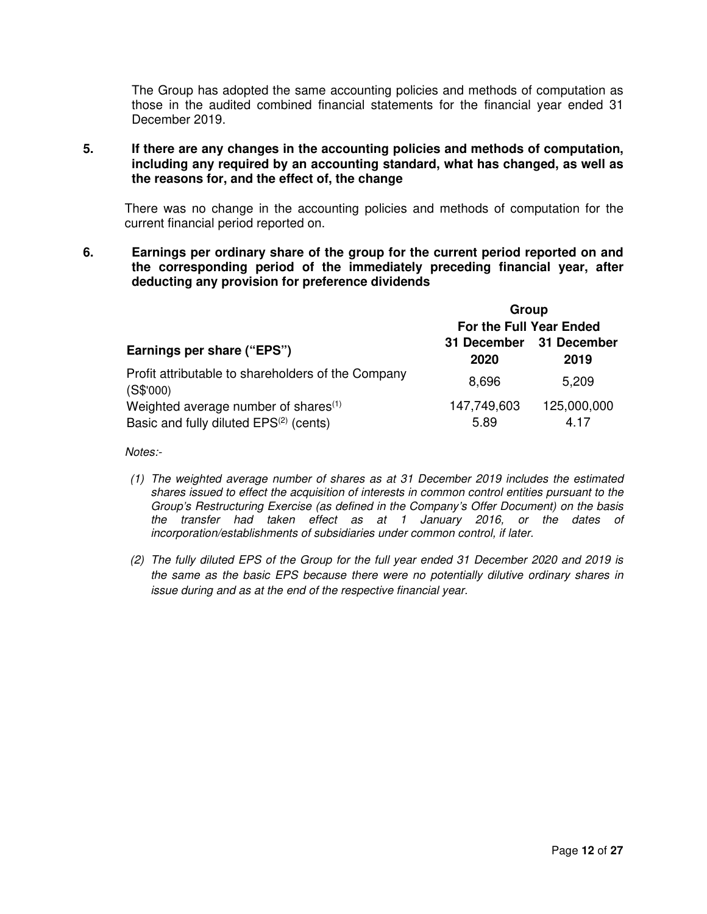The Group has adopted the same accounting policies and methods of computation as those in the audited combined financial statements for the financial year ended 31 December 2019.

**5. If there are any changes in the accounting policies and methods of computation, including any required by an accounting standard, what has changed, as well as the reasons for, and the effect of, the change** 

There was no change in the accounting policies and methods of computation for the current financial period reported on.

**6. Earnings per ordinary share of the group for the current period reported on and the corresponding period of the immediately preceding financial year, after deducting any provision for preference dividends** 

|                                                                 | Group                   |                     |  |  |
|-----------------------------------------------------------------|-------------------------|---------------------|--|--|
|                                                                 | For the Full Year Ended |                     |  |  |
| Earnings per share ("EPS")                                      | 31 December<br>2020     | 31 December<br>2019 |  |  |
| Profit attributable to shareholders of the Company<br>(S\$'000) | 8,696                   | 5,209               |  |  |
| Weighted average number of shares <sup>(1)</sup>                | 147,749,603             | 125,000,000         |  |  |
| Basic and fully diluted EPS <sup>(2)</sup> (cents)              | 5.89                    | 4.17                |  |  |

*Notes:-* 

- *(1) The weighted average number of shares as at 31 December 2019 includes the estimated shares issued to effect the acquisition of interests in common control entities pursuant to the Group's Restructuring Exercise (as defined in the Company's Offer Document) on the basis the transfer had taken effect as at 1 January 2016, or the dates of incorporation/establishments of subsidiaries under common control, if later.*
- *(2) The fully diluted EPS of the Group for the full year ended 31 December 2020 and 2019 is the same as the basic EPS because there were no potentially dilutive ordinary shares in issue during and as at the end of the respective financial year.*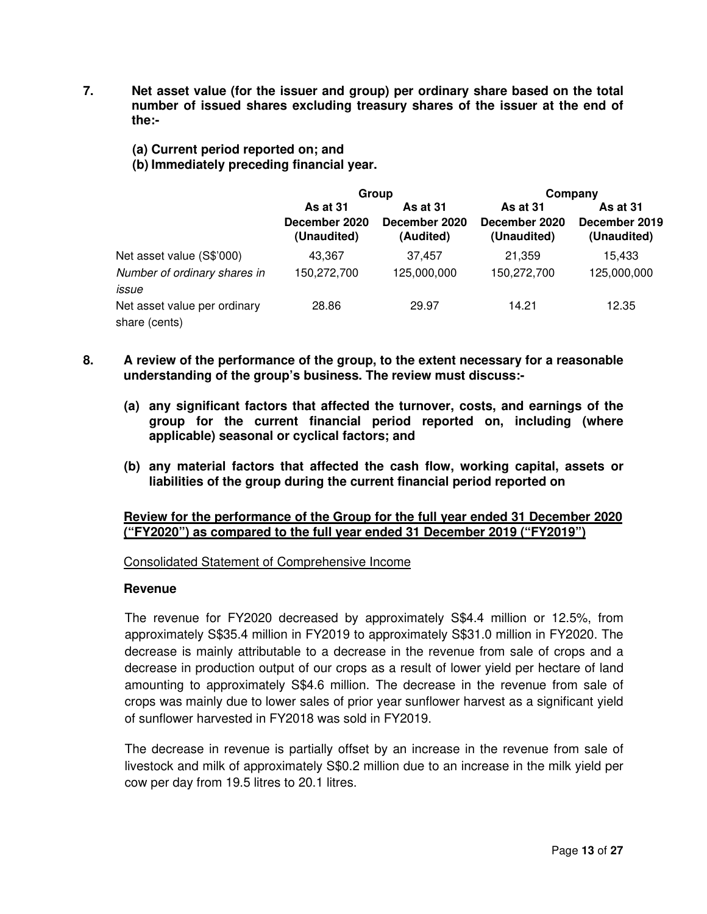- **7. Net asset value (for the issuer and group) per ordinary share based on the total number of issued shares excluding treasury shares of the issuer at the end of the:-** 
	- **(a) Current period reported on; and**
	- **(b) Immediately preceding financial year.**

|                                               | Group                                    |                                               | Company                                  |                                          |
|-----------------------------------------------|------------------------------------------|-----------------------------------------------|------------------------------------------|------------------------------------------|
|                                               | As at 31<br>December 2020<br>(Unaudited) | <b>As at 31</b><br>December 2020<br>(Audited) | As at 31<br>December 2020<br>(Unaudited) | As at 31<br>December 2019<br>(Unaudited) |
| Net asset value (S\$'000)                     | 43,367                                   | 37,457                                        | 21.359                                   | 15.433                                   |
| Number of ordinary shares in<br>issue         | 150,272,700                              | 125,000,000                                   | 150,272,700                              | 125,000,000                              |
| Net asset value per ordinary<br>share (cents) | 28.86                                    | 29.97                                         | 14.21                                    | 12.35                                    |

- **8. A review of the performance of the group, to the extent necessary for a reasonable understanding of the group's business. The review must discuss:-** 
	- **(a) any significant factors that affected the turnover, costs, and earnings of the group for the current financial period reported on, including (where applicable) seasonal or cyclical factors; and**
	- **(b) any material factors that affected the cash flow, working capital, assets or liabilities of the group during the current financial period reported on**

# **Review for the performance of the Group for the full year ended 31 December 2020 ("FY2020") as compared to the full year ended 31 December 2019 ("FY2019")**

# Consolidated Statement of Comprehensive Income

#### **Revenue**

The revenue for FY2020 decreased by approximately S\$4.4 million or 12.5%, from approximately S\$35.4 million in FY2019 to approximately S\$31.0 million in FY2020. The decrease is mainly attributable to a decrease in the revenue from sale of crops and a decrease in production output of our crops as a result of lower yield per hectare of land amounting to approximately S\$4.6 million. The decrease in the revenue from sale of crops was mainly due to lower sales of prior year sunflower harvest as a significant yield of sunflower harvested in FY2018 was sold in FY2019.

The decrease in revenue is partially offset by an increase in the revenue from sale of livestock and milk of approximately S\$0.2 million due to an increase in the milk yield per cow per day from 19.5 litres to 20.1 litres.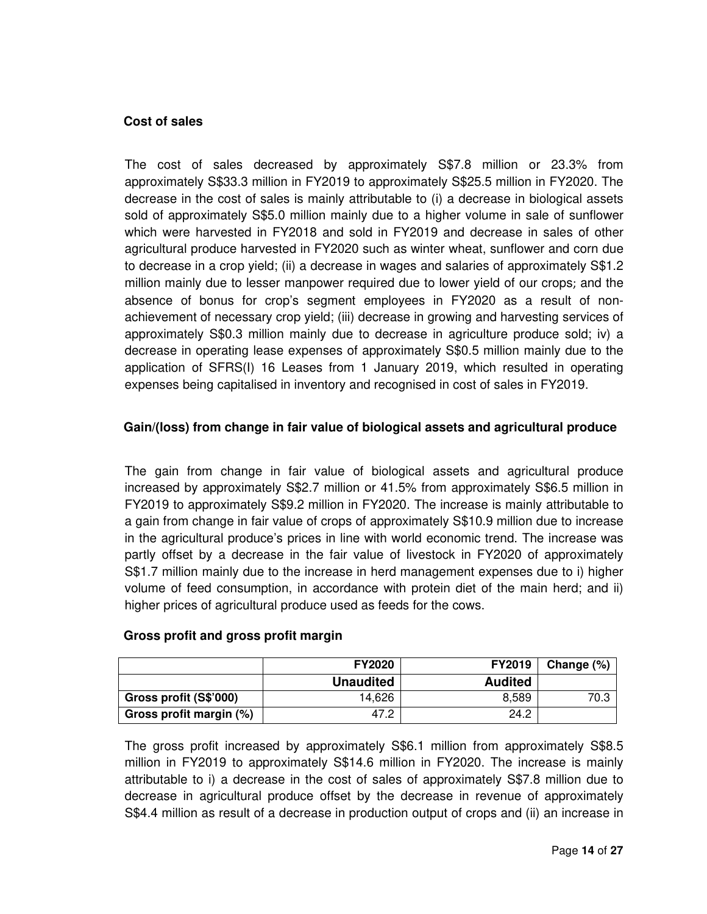# **Cost of sales**

The cost of sales decreased by approximately S\$7.8 million or 23.3% from approximately S\$33.3 million in FY2019 to approximately S\$25.5 million in FY2020. The decrease in the cost of sales is mainly attributable to (i) a decrease in biological assets sold of approximately S\$5.0 million mainly due to a higher volume in sale of sunflower which were harvested in FY2018 and sold in FY2019 and decrease in sales of other agricultural produce harvested in FY2020 such as winter wheat, sunflower and corn due to decrease in a crop yield; (ii) a decrease in wages and salaries of approximately S\$1.2 million mainly due to lesser manpower required due to lower yield of our crops; and the absence of bonus for crop's segment employees in FY2020 as a result of nonachievement of necessary crop yield; (iii) decrease in growing and harvesting services of approximately S\$0.3 million mainly due to decrease in agriculture produce sold; iv) a decrease in operating lease expenses of approximately S\$0.5 million mainly due to the application of SFRS(I) 16 Leases from 1 January 2019, which resulted in operating expenses being capitalised in inventory and recognised in cost of sales in FY2019.

# **Gain/(loss) from change in fair value of biological assets and agricultural produce**

The gain from change in fair value of biological assets and agricultural produce increased by approximately S\$2.7 million or 41.5% from approximately S\$6.5 million in FY2019 to approximately S\$9.2 million in FY2020. The increase is mainly attributable to a gain from change in fair value of crops of approximately S\$10.9 million due to increase in the agricultural produce's prices in line with world economic trend. The increase was partly offset by a decrease in the fair value of livestock in FY2020 of approximately S\$1.7 million mainly due to the increase in herd management expenses due to i) higher volume of feed consumption, in accordance with protein diet of the main herd; and ii) higher prices of agricultural produce used as feeds for the cows.

|                         | <b>FY2020</b>    | <b>FY2019</b>  | Change $(\%)$ |
|-------------------------|------------------|----------------|---------------|
|                         | <b>Unaudited</b> | <b>Audited</b> |               |
| Gross profit (S\$'000)  | 14.626           | 8.589          | 70.3          |
| Gross profit margin (%) | 47.2             | 24.2           |               |

# **Gross profit and gross profit margin**

The gross profit increased by approximately S\$6.1 million from approximately S\$8.5 million in FY2019 to approximately S\$14.6 million in FY2020. The increase is mainly attributable to i) a decrease in the cost of sales of approximately S\$7.8 million due to decrease in agricultural produce offset by the decrease in revenue of approximately S\$4.4 million as result of a decrease in production output of crops and (ii) an increase in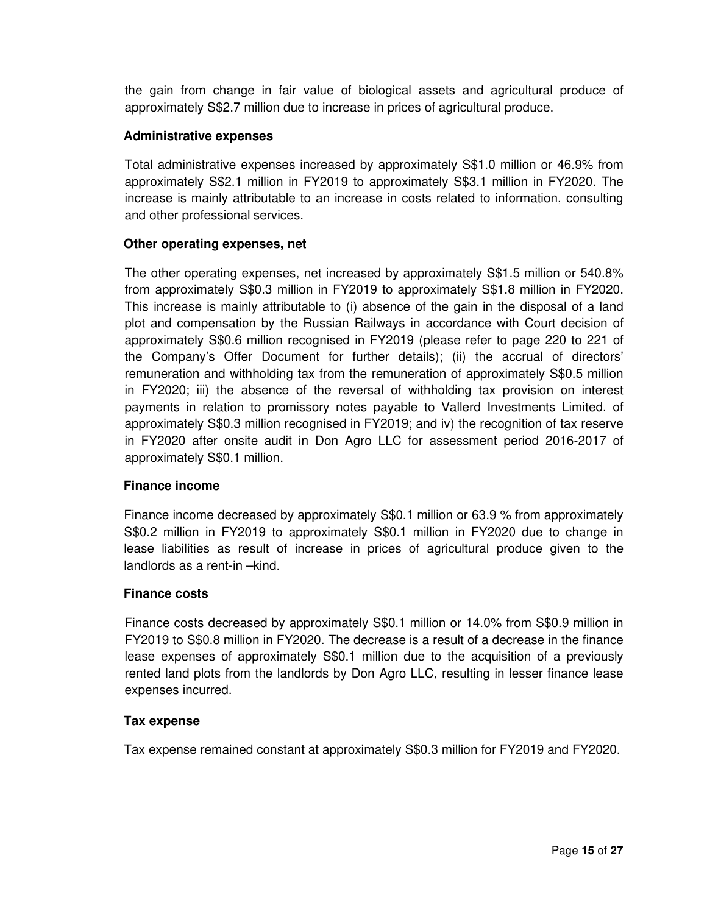the gain from change in fair value of biological assets and agricultural produce of approximately S\$2.7 million due to increase in prices of agricultural produce.

#### **Administrative expenses**

Total administrative expenses increased by approximately S\$1.0 million or 46.9% from approximately S\$2.1 million in FY2019 to approximately S\$3.1 million in FY2020. The increase is mainly attributable to an increase in costs related to information, consulting and other professional services.

#### **Other operating expenses, net**

The other operating expenses, net increased by approximately S\$1.5 million or 540.8% from approximately S\$0.3 million in FY2019 to approximately S\$1.8 million in FY2020. This increase is mainly attributable to (i) absence of the gain in the disposal of a land plot and compensation by the Russian Railways in accordance with Court decision of approximately S\$0.6 million recognised in FY2019 (please refer to page 220 to 221 of the Company's Offer Document for further details); (ii) the accrual of directors' remuneration and withholding tax from the remuneration of approximately S\$0.5 million in FY2020; iii) the absence of the reversal of withholding tax provision on interest payments in relation to promissory notes payable to Vallerd Investments Limited. of approximately S\$0.3 million recognised in FY2019; and iv) the recognition of tax reserve in FY2020 after onsite audit in Don Agro LLC for assessment period 2016-2017 of approximately S\$0.1 million.

# **Finance income**

Finance income decreased by approximately S\$0.1 million or 63.9 % from approximately S\$0.2 million in FY2019 to approximately S\$0.1 million in FY2020 due to change in lease liabilities as result of increase in prices of agricultural produce given to the landlords as a rent-in –kind.

#### **Finance costs**

Finance costs decreased by approximately S\$0.1 million or 14.0% from S\$0.9 million in FY2019 to S\$0.8 million in FY2020. The decrease is a result of a decrease in the finance lease expenses of approximately S\$0.1 million due to the acquisition of a previously rented land plots from the landlords by Don Agro LLC, resulting in lesser finance lease expenses incurred.

# **Tax expense**

Tax expense remained constant at approximately S\$0.3 million for FY2019 and FY2020.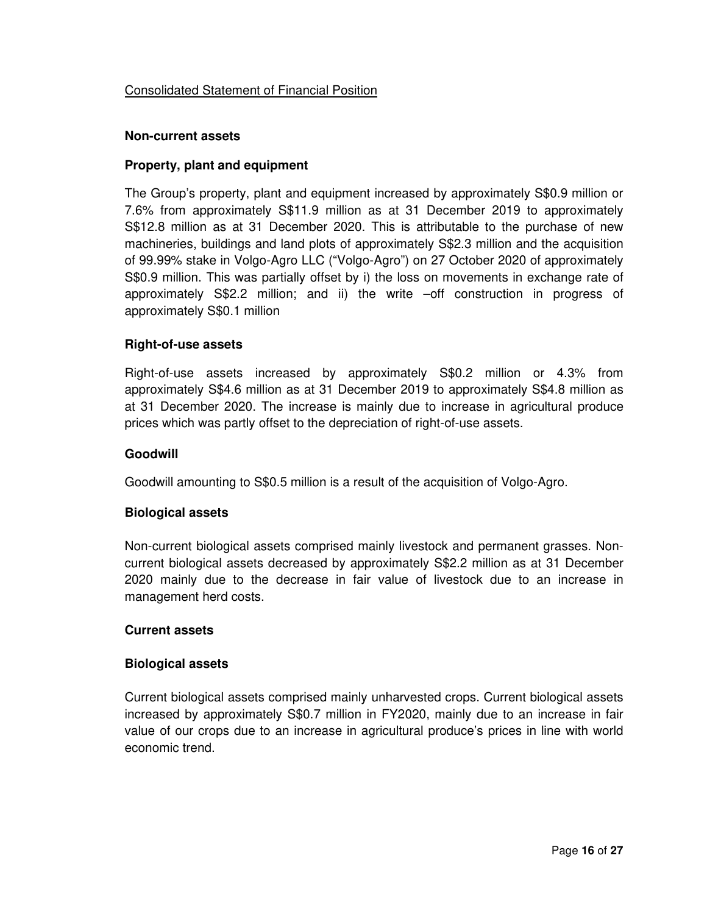# Consolidated Statement of Financial Position

#### **Non-current assets**

#### **Property, plant and equipment**

The Group's property, plant and equipment increased by approximately S\$0.9 million or 7.6% from approximately S\$11.9 million as at 31 December 2019 to approximately S\$12.8 million as at 31 December 2020. This is attributable to the purchase of new machineries, buildings and land plots of approximately S\$2.3 million and the acquisition of 99.99% stake in Volgo-Agro LLC ("Volgo-Agro") on 27 October 2020 of approximately S\$0.9 million. This was partially offset by i) the loss on movements in exchange rate of approximately S\$2.2 million; and ii) the write –off construction in progress of approximately S\$0.1 million

#### **Right-of-use assets**

Right-of-use assets increased by approximately S\$0.2 million or 4.3% from approximately S\$4.6 million as at 31 December 2019 to approximately S\$4.8 million as at 31 December 2020. The increase is mainly due to increase in agricultural produce prices which was partly offset to the depreciation of right-of-use assets.

#### **Goodwill**

Goodwill amounting to S\$0.5 million is a result of the acquisition of Volgo-Agro.

# **Biological assets**

Non-current biological assets comprised mainly livestock and permanent grasses. Noncurrent biological assets decreased by approximately S\$2.2 million as at 31 December 2020 mainly due to the decrease in fair value of livestock due to an increase in management herd costs.

#### **Current assets**

# **Biological assets**

Current biological assets comprised mainly unharvested crops. Current biological assets increased by approximately S\$0.7 million in FY2020, mainly due to an increase in fair value of our crops due to an increase in agricultural produce's prices in line with world economic trend.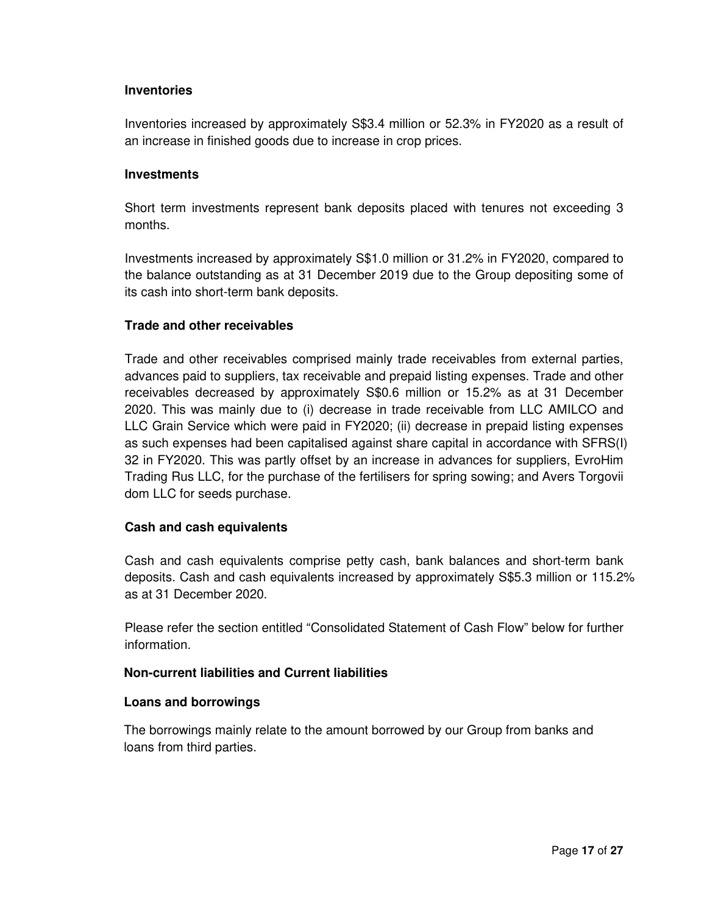#### **Inventories**

Inventories increased by approximately S\$3.4 million or 52.3% in FY2020 as a result of an increase in finished goods due to increase in crop prices.

#### **Investments**

Short term investments represent bank deposits placed with tenures not exceeding 3 months.

Investments increased by approximately S\$1.0 million or 31.2% in FY2020, compared to the balance outstanding as at 31 December 2019 due to the Group depositing some of its cash into short-term bank deposits.

#### **Trade and other receivables**

Trade and other receivables comprised mainly trade receivables from external parties, advances paid to suppliers, tax receivable and prepaid listing expenses. Trade and other receivables decreased by approximately S\$0.6 million or 15.2% as at 31 December 2020. This was mainly due to (i) decrease in trade receivable from LLC AMILCO and LLC Grain Service which were paid in FY2020; (ii) decrease in prepaid listing expenses as such expenses had been capitalised against share capital in accordance with SFRS(I) 32 in FY2020. This was partly offset by an increase in advances for suppliers, EvroHim Trading Rus LLC, for the purchase of the fertilisers for spring sowing; and Avers Torgovii dom LLC for seeds purchase.

# **Cash and cash equivalents**

Cash and cash equivalents comprise petty cash, bank balances and short-term bank deposits. Cash and cash equivalents increased by approximately S\$5.3 million or 115.2% as at 31 December 2020.

Please refer the section entitled "Consolidated Statement of Cash Flow" below for further information.

# **Non-current liabilities and Current liabilities**

#### **Loans and borrowings**

The borrowings mainly relate to the amount borrowed by our Group from banks and loans from third parties.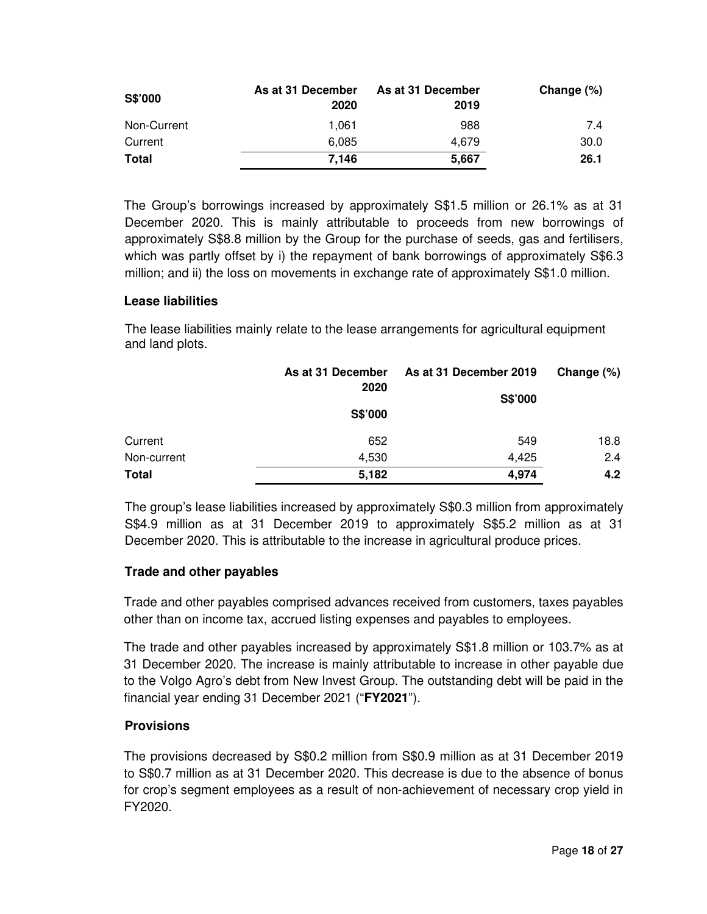| S\$'000      | As at 31 December<br>2020 | As at 31 December<br>2019 | Change (%) |
|--------------|---------------------------|---------------------------|------------|
| Non-Current  | 1.061                     | 988                       | 7.4        |
| Current      | 6.085                     | 4.679                     | 30.0       |
| <b>Total</b> | 7.146                     | 5,667                     | 26.1       |

The Group's borrowings increased by approximately S\$1.5 million or 26.1% as at 31 December 2020. This is mainly attributable to proceeds from new borrowings of approximately S\$8.8 million by the Group for the purchase of seeds, gas and fertilisers, which was partly offset by i) the repayment of bank borrowings of approximately S\$6.3 million; and ii) the loss on movements in exchange rate of approximately S\$1.0 million.

# **Lease liabilities**

The lease liabilities mainly relate to the lease arrangements for agricultural equipment and land plots.

|              | As at 31 December | As at 31 December 2019 | Change $(\%)$ |
|--------------|-------------------|------------------------|---------------|
|              | 2020              | S\$'000                |               |
|              | S\$'000           |                        |               |
| Current      | 652               | 549                    | 18.8          |
| Non-current  | 4,530             | 4,425                  | 2.4           |
| <b>Total</b> | 5,182             | 4,974                  | 4.2           |

The group's lease liabilities increased by approximately S\$0.3 million from approximately S\$4.9 million as at 31 December 2019 to approximately S\$5.2 million as at 31 December 2020. This is attributable to the increase in agricultural produce prices.

# **Trade and other payables**

Trade and other payables comprised advances received from customers, taxes payables other than on income tax, accrued listing expenses and payables to employees.

The trade and other payables increased by approximately S\$1.8 million or 103.7% as at 31 December 2020. The increase is mainly attributable to increase in other payable due to the Volgo Agro's debt from New Invest Group. The outstanding debt will be paid in the financial year ending 31 December 2021 ("**FY2021**").

# **Provisions**

The provisions decreased by S\$0.2 million from S\$0.9 million as at 31 December 2019 to S\$0.7 million as at 31 December 2020. This decrease is due to the absence of bonus for crop's segment employees as a result of non-achievement of necessary crop yield in FY2020.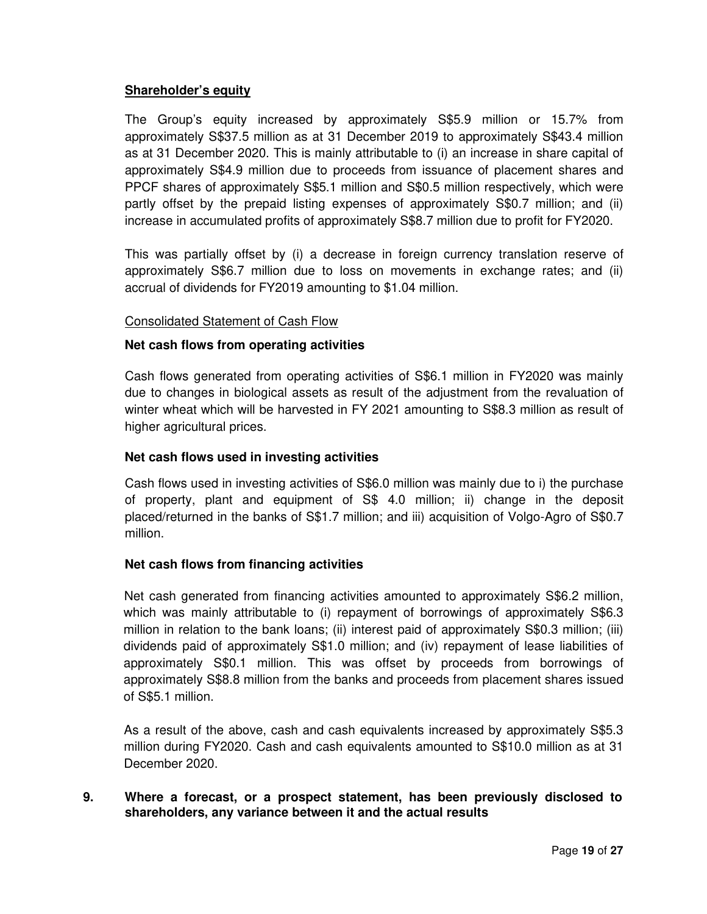# **Shareholder's equity**

The Group's equity increased by approximately S\$5.9 million or 15.7% from approximately S\$37.5 million as at 31 December 2019 to approximately S\$43.4 million as at 31 December 2020. This is mainly attributable to (i) an increase in share capital of approximately S\$4.9 million due to proceeds from issuance of placement shares and PPCF shares of approximately S\$5.1 million and S\$0.5 million respectively, which were partly offset by the prepaid listing expenses of approximately S\$0.7 million; and (ii) increase in accumulated profits of approximately S\$8.7 million due to profit for FY2020.

This was partially offset by (i) a decrease in foreign currency translation reserve of approximately S\$6.7 million due to loss on movements in exchange rates; and (ii) accrual of dividends for FY2019 amounting to \$1.04 million.

# Consolidated Statement of Cash Flow

# **Net cash flows from operating activities**

Cash flows generated from operating activities of S\$6.1 million in FY2020 was mainly due to changes in biological assets as result of the adjustment from the revaluation of winter wheat which will be harvested in FY 2021 amounting to S\$8.3 million as result of higher agricultural prices.

# **Net cash flows used in investing activities**

Cash flows used in investing activities of S\$6.0 million was mainly due to i) the purchase of property, plant and equipment of S\$ 4.0 million; ii) change in the deposit placed/returned in the banks of S\$1.7 million; and iii) acquisition of Volgo-Agro of S\$0.7 million.

# **Net cash flows from financing activities**

Net cash generated from financing activities amounted to approximately S\$6.2 million, which was mainly attributable to (i) repayment of borrowings of approximately S\$6.3 million in relation to the bank loans; (ii) interest paid of approximately S\$0.3 million; (iii) dividends paid of approximately S\$1.0 million; and (iv) repayment of lease liabilities of approximately S\$0.1 million. This was offset by proceeds from borrowings of approximately S\$8.8 million from the banks and proceeds from placement shares issued of S\$5.1 million.

As a result of the above, cash and cash equivalents increased by approximately S\$5.3 million during FY2020. Cash and cash equivalents amounted to S\$10.0 million as at 31 December 2020.

# **9. Where a forecast, or a prospect statement, has been previously disclosed to shareholders, any variance between it and the actual results**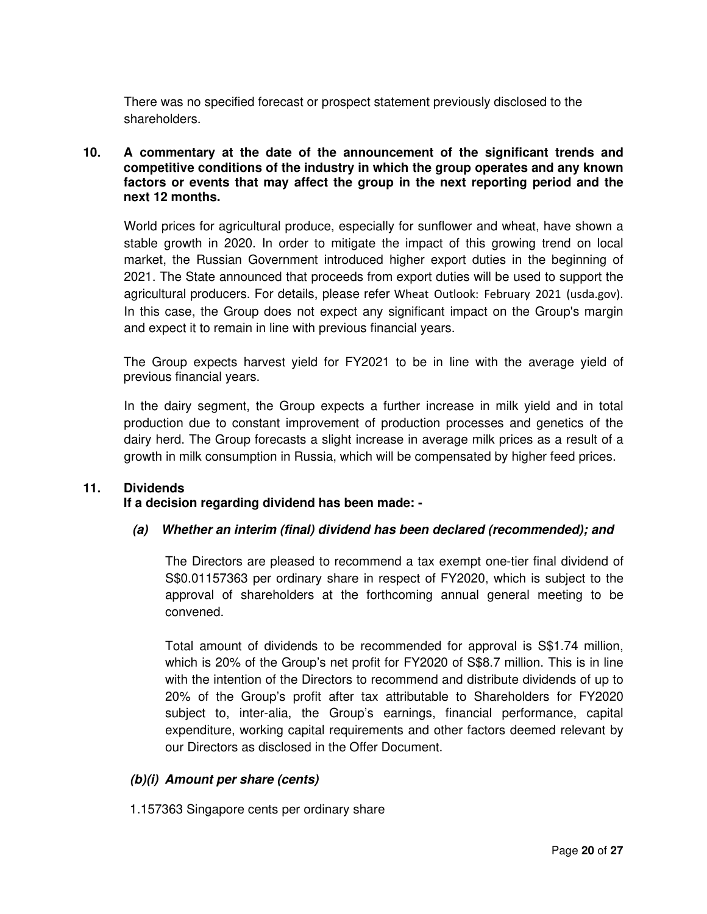There was no specified forecast or prospect statement previously disclosed to the shareholders.

#### **10. A commentary at the date of the announcement of the significant trends and competitive conditions of the industry in which the group operates and any known factors or events that may affect the group in the next reporting period and the next 12 months.**

World prices for agricultural produce, especially for sunflower and wheat, have shown a stable growth in 2020. In order to mitigate the impact of this growing trend on local market, the Russian Government introduced higher export duties in the beginning of 2021. The State announced that proceeds from export duties will be used to support the agricultural producers. For details, please refer Wheat Outlook: February 2021 (usda.gov). In this case, the Group does not expect any significant impact on the Group's margin and expect it to remain in line with previous financial years.

The Group expects harvest yield for FY2021 to be in line with the average yield of previous financial years.

In the dairy segment, the Group expects a further increase in milk yield and in total production due to constant improvement of production processes and genetics of the dairy herd. The Group forecasts a slight increase in average milk prices as a result of a growth in milk consumption in Russia, which will be compensated by higher feed prices.

# **11. Dividends**

# **If a decision regarding dividend has been made: -**

#### **(a) Whether an interim (final) dividend has been declared (recommended); and**

The Directors are pleased to recommend a tax exempt one-tier final dividend of S\$0.01157363 per ordinary share in respect of FY2020, which is subject to the approval of shareholders at the forthcoming annual general meeting to be convened.

Total amount of dividends to be recommended for approval is S\$1.74 million, which is 20% of the Group's net profit for FY2020 of S\$8.7 million. This is in line with the intention of the Directors to recommend and distribute dividends of up to 20% of the Group's profit after tax attributable to Shareholders for FY2020 subject to, inter-alia, the Group's earnings, financial performance, capital expenditure, working capital requirements and other factors deemed relevant by our Directors as disclosed in the Offer Document.

# **(b)(i) Amount per share (cents)**

1.157363 Singapore cents per ordinary share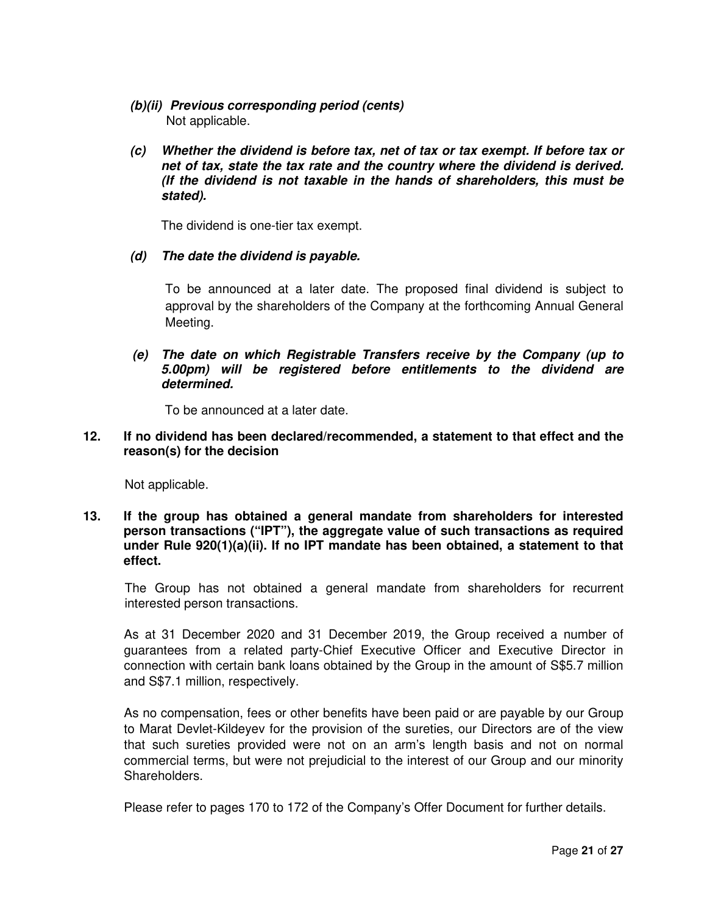- **(b)(ii) Previous corresponding period (cents)**  Not applicable.
- **(c) Whether the dividend is before tax, net of tax or tax exempt. If before tax or net of tax, state the tax rate and the country where the dividend is derived. (If the dividend is not taxable in the hands of shareholders, this must be stated).**

The dividend is one-tier tax exempt.

**(d) The date the dividend is payable.** 

To be announced at a later date. The proposed final dividend is subject to approval by the shareholders of the Company at the forthcoming Annual General Meeting.

**(e) The date on which Registrable Transfers receive by the Company (up to 5.00pm) will be registered before entitlements to the dividend are determined.** 

To be announced at a later date.

**12. If no dividend has been declared/recommended, a statement to that effect and the reason(s) for the decision** 

Not applicable.

**13. If the group has obtained a general mandate from shareholders for interested person transactions ("IPT"), the aggregate value of such transactions as required under Rule 920(1)(a)(ii). If no IPT mandate has been obtained, a statement to that effect.** 

The Group has not obtained a general mandate from shareholders for recurrent interested person transactions.

As at 31 December 2020 and 31 December 2019, the Group received a number of guarantees from a related party-Chief Executive Officer and Executive Director in connection with certain bank loans obtained by the Group in the amount of S\$5.7 million and S\$7.1 million, respectively.

As no compensation, fees or other benefits have been paid or are payable by our Group to Marat Devlet-Kildeyev for the provision of the sureties, our Directors are of the view that such sureties provided were not on an arm's length basis and not on normal commercial terms, but were not prejudicial to the interest of our Group and our minority Shareholders.

Please refer to pages 170 to 172 of the Company's Offer Document for further details.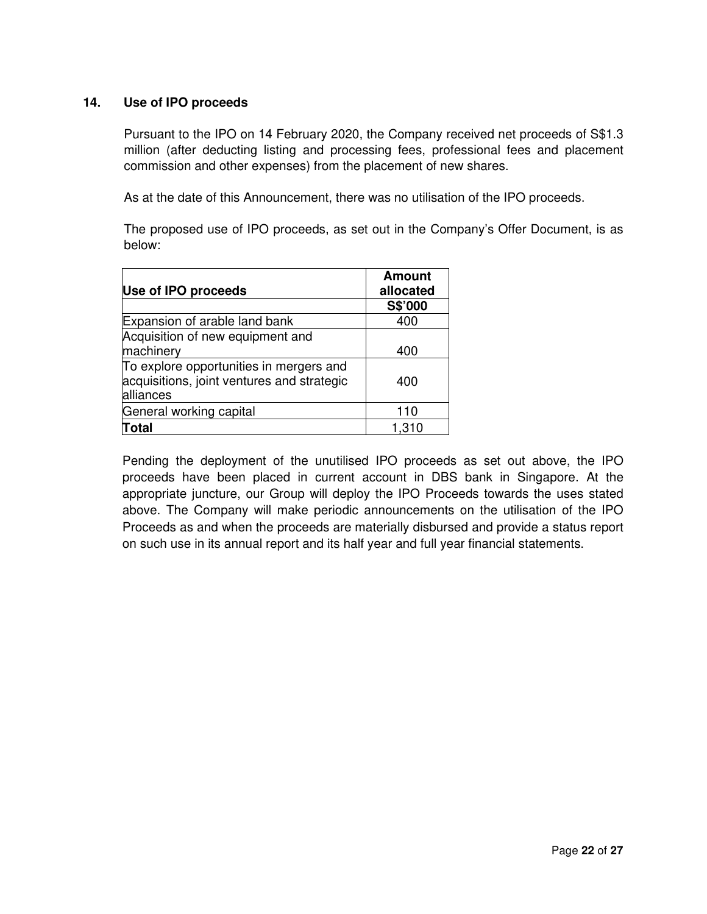# **14. Use of IPO proceeds**

Pursuant to the IPO on 14 February 2020, the Company received net proceeds of S\$1.3 million (after deducting listing and processing fees, professional fees and placement commission and other expenses) from the placement of new shares.

As at the date of this Announcement, there was no utilisation of the IPO proceeds.

The proposed use of IPO proceeds, as set out in the Company's Offer Document, is as below:

| Use of IPO proceeds                                                                                | Amount<br>allocated |
|----------------------------------------------------------------------------------------------------|---------------------|
|                                                                                                    | S\$'000             |
| Expansion of arable land bank                                                                      | 400                 |
| Acquisition of new equipment and<br>machinery                                                      | 400                 |
| To explore opportunities in mergers and<br>acquisitions, joint ventures and strategic<br>alliances | 400                 |
| General working capital                                                                            | 110                 |
| <b>Total</b>                                                                                       | 1,310               |

Pending the deployment of the unutilised IPO proceeds as set out above, the IPO proceeds have been placed in current account in DBS bank in Singapore. At the appropriate juncture, our Group will deploy the IPO Proceeds towards the uses stated above. The Company will make periodic announcements on the utilisation of the IPO Proceeds as and when the proceeds are materially disbursed and provide a status report on such use in its annual report and its half year and full year financial statements.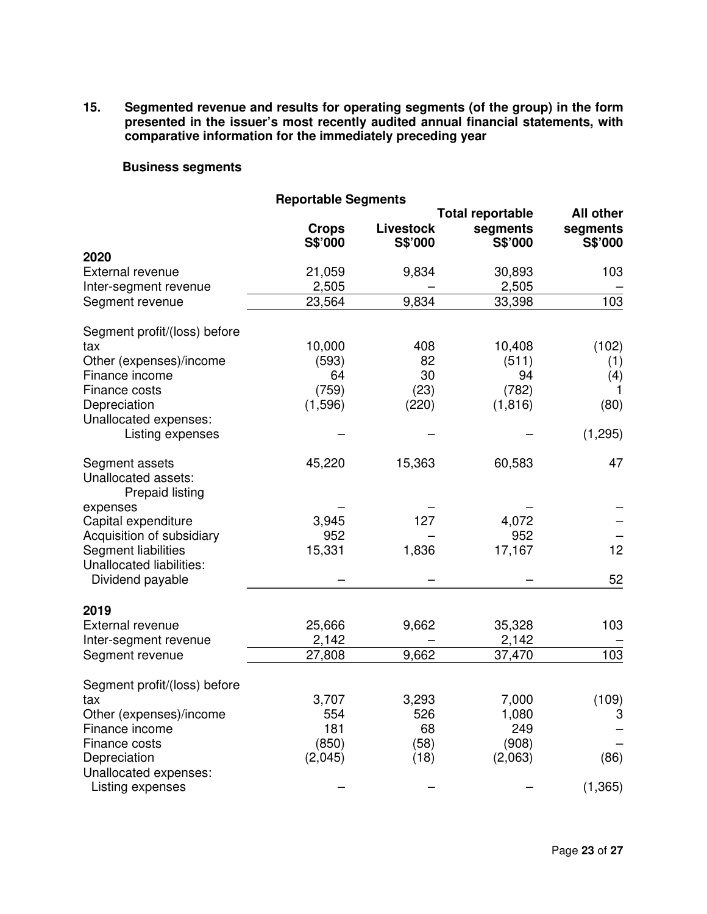**15. Segmented revenue and results for operating segments (of the group) in the form presented in the issuer's most recently audited annual financial statements, with comparative information for the immediately preceding year** 

# **Business segments**

| <b>Reportable Segments</b>   |              |                  |                         |                  |
|------------------------------|--------------|------------------|-------------------------|------------------|
|                              |              |                  | <b>Total reportable</b> | <b>All other</b> |
|                              | <b>Crops</b> | <b>Livestock</b> | segments                | segments         |
|                              | S\$'000      | S\$'000          | S\$'000                 | S\$'000          |
| 2020                         |              |                  |                         |                  |
| External revenue             | 21,059       | 9,834            | 30,893                  | 103              |
| Inter-segment revenue        | 2,505        |                  | 2,505                   |                  |
| Segment revenue              | 23,564       | 9,834            | 33,398                  | 103              |
| Segment profit/(loss) before |              |                  |                         |                  |
| tax                          | 10,000       | 408              | 10,408                  | (102)            |
| Other (expenses)/income      | (593)        | 82               | (511)                   | (1)              |
| Finance income               | 64           | 30               | 94                      | (4)              |
| Finance costs                | (759)        | (23)             | (782)                   | 1                |
| Depreciation                 | (1, 596)     | (220)            | (1, 816)                | (80)             |
| Unallocated expenses:        |              |                  |                         |                  |
| Listing expenses             |              |                  |                         | (1, 295)         |
| Segment assets               | 45,220       | 15,363           | 60,583                  | 47               |
| Unallocated assets:          |              |                  |                         |                  |
| <b>Prepaid listing</b>       |              |                  |                         |                  |
| expenses                     |              |                  |                         |                  |
| Capital expenditure          | 3,945        | 127              | 4,072                   |                  |
| Acquisition of subsidiary    | 952          |                  | 952                     |                  |
| Segment liabilities          | 15,331       | 1,836            | 17,167                  | 12               |
| Unallocated liabilities:     |              |                  |                         |                  |
| Dividend payable             |              |                  |                         | 52               |
| 2019                         |              |                  |                         |                  |
| External revenue             | 25,666       | 9,662            | 35,328                  | 103              |
| Inter-segment revenue        | 2,142        |                  | 2,142                   |                  |
| Segment revenue              | 27,808       | 9,662            | 37,470                  | 103              |
|                              |              |                  |                         |                  |
| Segment profit/(loss) before |              |                  |                         |                  |
| tax                          | 3,707        | 3,293            | 7,000                   | (109)            |
| Other (expenses)/income      | 554          | 526              | 1,080                   | 3                |
| Finance income               | 181          | 68               | 249                     |                  |
| Finance costs                | (850)        | (58)             | (908)                   |                  |
| Depreciation                 | (2,045)      | (18)             | (2,063)                 | (86)             |
| Unallocated expenses:        |              |                  |                         |                  |
| Listing expenses             |              |                  |                         | (1, 365)         |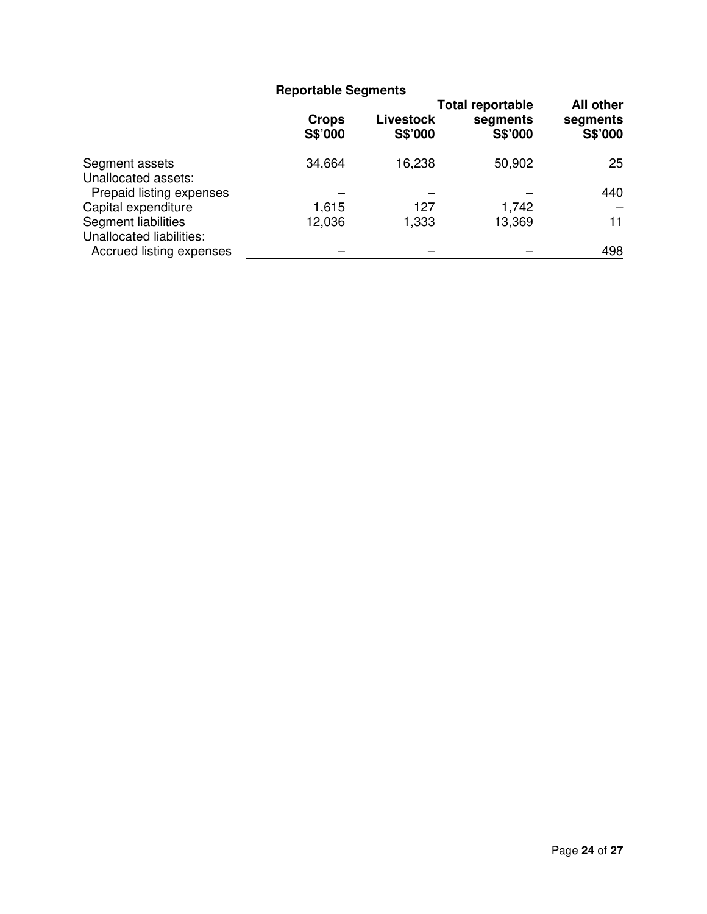|                                                 | <b>Reportable Segments</b> |                             |                                                |                                         |
|-------------------------------------------------|----------------------------|-----------------------------|------------------------------------------------|-----------------------------------------|
|                                                 | <b>Crops</b><br>S\$'000    | <b>Livestock</b><br>S\$'000 | <b>Total reportable</b><br>segments<br>S\$'000 | <b>All other</b><br>segments<br>S\$'000 |
| Segment assets<br>Unallocated assets:           | 34,664                     | 16,238                      | 50,902                                         | 25                                      |
| Prepaid listing expenses                        |                            |                             |                                                | 440                                     |
| Capital expenditure                             | 1,615                      | 127                         | 1,742                                          |                                         |
| Segment liabilities<br>Unallocated liabilities: | 12,036                     | 1,333                       | 13,369                                         | 11                                      |
| Accrued listing expenses                        |                            |                             |                                                | 498                                     |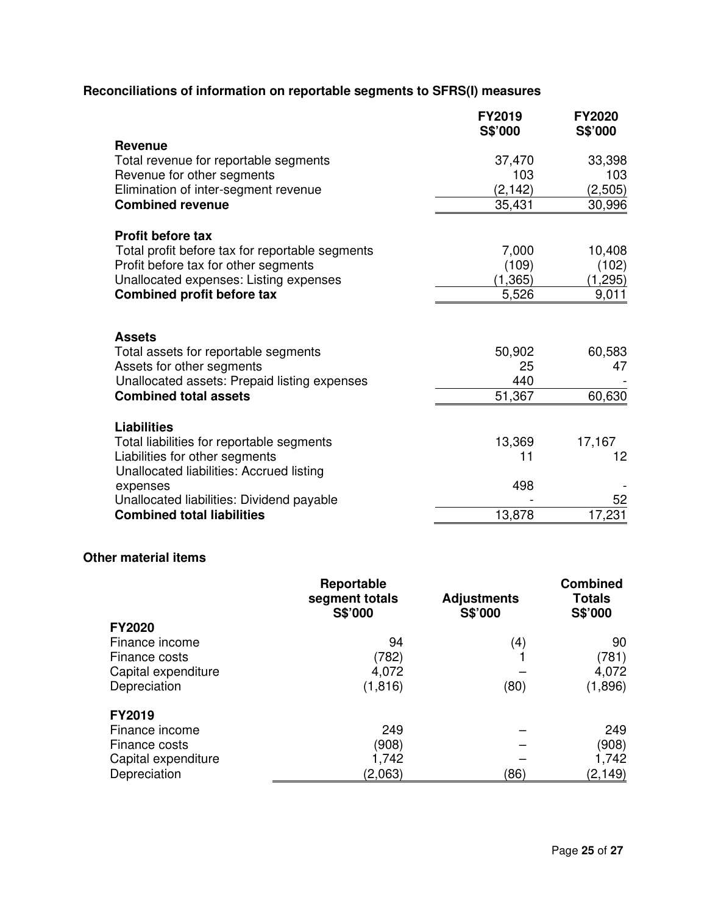# **Reconciliations of information on reportable segments to SFRS(I) measures**

| <b>Revenue</b><br>33,398<br>37,470<br>Total revenue for reportable segments<br>Revenue for other segments<br>103<br>103<br>Elimination of inter-segment revenue<br>(2, 142)<br>(2,505)<br><b>Combined revenue</b><br>35,431<br>30,996<br><b>Profit before tax</b><br>7,000<br>10,408<br>Total profit before tax for reportable segments<br>Profit before tax for other segments<br>(109)<br>(102)<br>Unallocated expenses: Listing expenses<br>(1, 365)<br>(1, 295)<br><b>Combined profit before tax</b><br>5,526<br>9,011<br><b>Assets</b><br>60,583<br>Total assets for reportable segments<br>50,902<br>Assets for other segments<br>25<br>47<br>Unallocated assets: Prepaid listing expenses<br>440<br>51,367<br><b>Combined total assets</b><br><b>Liabilities</b><br>13,369<br>Total liabilities for reportable segments<br>17,167<br>Liabilities for other segments<br>11<br>12<br>Unallocated liabilities: Accrued listing<br>498<br>expenses<br>52<br>Unallocated liabilities: Dividend payable<br>17,231<br><b>Combined total liabilities</b><br>13,878 | <b>FY2019</b><br>S\$'000 | <b>FY2020</b><br>S\$'000 |
|-------------------------------------------------------------------------------------------------------------------------------------------------------------------------------------------------------------------------------------------------------------------------------------------------------------------------------------------------------------------------------------------------------------------------------------------------------------------------------------------------------------------------------------------------------------------------------------------------------------------------------------------------------------------------------------------------------------------------------------------------------------------------------------------------------------------------------------------------------------------------------------------------------------------------------------------------------------------------------------------------------------------------------------------------------------------|--------------------------|--------------------------|
|                                                                                                                                                                                                                                                                                                                                                                                                                                                                                                                                                                                                                                                                                                                                                                                                                                                                                                                                                                                                                                                                   |                          |                          |
|                                                                                                                                                                                                                                                                                                                                                                                                                                                                                                                                                                                                                                                                                                                                                                                                                                                                                                                                                                                                                                                                   |                          |                          |
|                                                                                                                                                                                                                                                                                                                                                                                                                                                                                                                                                                                                                                                                                                                                                                                                                                                                                                                                                                                                                                                                   |                          |                          |
|                                                                                                                                                                                                                                                                                                                                                                                                                                                                                                                                                                                                                                                                                                                                                                                                                                                                                                                                                                                                                                                                   |                          |                          |
|                                                                                                                                                                                                                                                                                                                                                                                                                                                                                                                                                                                                                                                                                                                                                                                                                                                                                                                                                                                                                                                                   |                          |                          |
|                                                                                                                                                                                                                                                                                                                                                                                                                                                                                                                                                                                                                                                                                                                                                                                                                                                                                                                                                                                                                                                                   |                          |                          |
|                                                                                                                                                                                                                                                                                                                                                                                                                                                                                                                                                                                                                                                                                                                                                                                                                                                                                                                                                                                                                                                                   |                          |                          |
|                                                                                                                                                                                                                                                                                                                                                                                                                                                                                                                                                                                                                                                                                                                                                                                                                                                                                                                                                                                                                                                                   |                          |                          |
|                                                                                                                                                                                                                                                                                                                                                                                                                                                                                                                                                                                                                                                                                                                                                                                                                                                                                                                                                                                                                                                                   |                          |                          |
|                                                                                                                                                                                                                                                                                                                                                                                                                                                                                                                                                                                                                                                                                                                                                                                                                                                                                                                                                                                                                                                                   |                          |                          |
|                                                                                                                                                                                                                                                                                                                                                                                                                                                                                                                                                                                                                                                                                                                                                                                                                                                                                                                                                                                                                                                                   |                          |                          |
|                                                                                                                                                                                                                                                                                                                                                                                                                                                                                                                                                                                                                                                                                                                                                                                                                                                                                                                                                                                                                                                                   |                          |                          |
|                                                                                                                                                                                                                                                                                                                                                                                                                                                                                                                                                                                                                                                                                                                                                                                                                                                                                                                                                                                                                                                                   |                          |                          |
|                                                                                                                                                                                                                                                                                                                                                                                                                                                                                                                                                                                                                                                                                                                                                                                                                                                                                                                                                                                                                                                                   |                          |                          |
|                                                                                                                                                                                                                                                                                                                                                                                                                                                                                                                                                                                                                                                                                                                                                                                                                                                                                                                                                                                                                                                                   |                          | 60,630                   |
|                                                                                                                                                                                                                                                                                                                                                                                                                                                                                                                                                                                                                                                                                                                                                                                                                                                                                                                                                                                                                                                                   |                          |                          |
|                                                                                                                                                                                                                                                                                                                                                                                                                                                                                                                                                                                                                                                                                                                                                                                                                                                                                                                                                                                                                                                                   |                          |                          |
|                                                                                                                                                                                                                                                                                                                                                                                                                                                                                                                                                                                                                                                                                                                                                                                                                                                                                                                                                                                                                                                                   |                          |                          |
|                                                                                                                                                                                                                                                                                                                                                                                                                                                                                                                                                                                                                                                                                                                                                                                                                                                                                                                                                                                                                                                                   |                          |                          |
|                                                                                                                                                                                                                                                                                                                                                                                                                                                                                                                                                                                                                                                                                                                                                                                                                                                                                                                                                                                                                                                                   |                          |                          |
|                                                                                                                                                                                                                                                                                                                                                                                                                                                                                                                                                                                                                                                                                                                                                                                                                                                                                                                                                                                                                                                                   |                          |                          |
|                                                                                                                                                                                                                                                                                                                                                                                                                                                                                                                                                                                                                                                                                                                                                                                                                                                                                                                                                                                                                                                                   |                          |                          |

# **Other material items**

|                     | Reportable<br>segment totals<br>S\$'000 | <b>Adjustments</b><br>S\$'000 | <b>Combined</b><br><b>Totals</b><br>S\$'000 |
|---------------------|-----------------------------------------|-------------------------------|---------------------------------------------|
| <b>FY2020</b>       |                                         |                               |                                             |
| Finance income      | 94                                      | $\left( 4\right)$             | 90                                          |
| Finance costs       | (782)                                   |                               | (781)                                       |
| Capital expenditure | 4,072                                   |                               | 4,072                                       |
| Depreciation        | (1, 816)                                | (80)                          | (1,896)                                     |
| FY2019              |                                         |                               |                                             |
| Finance income      | 249                                     |                               | 249                                         |
| Finance costs       | (908)                                   |                               | (908)                                       |
| Capital expenditure | 1,742                                   |                               | 1,742                                       |
| Depreciation        | (2,063)                                 | (86)                          | (2, 149)                                    |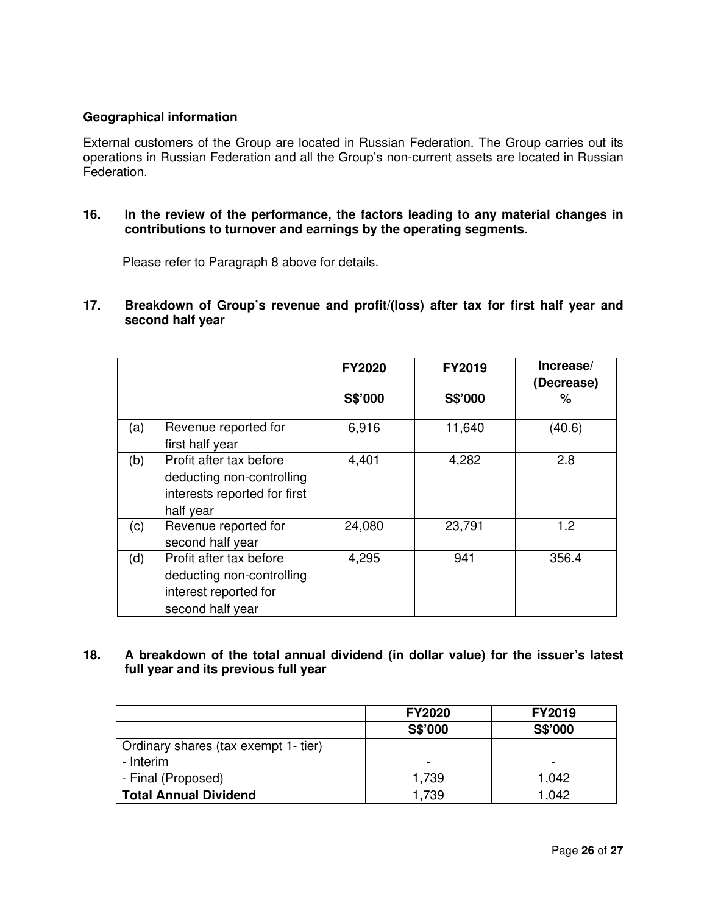# **Geographical information**

External customers of the Group are located in Russian Federation. The Group carries out its operations in Russian Federation and all the Group's non-current assets are located in Russian Federation.

**16. In the review of the performance, the factors leading to any material changes in contributions to turnover and earnings by the operating segments.** 

Please refer to Paragraph 8 above for details.

**17. Breakdown of Group's revenue and profit/(loss) after tax for first half year and second half year** 

|     |                                                                                                   | <b>FY2020</b> | <b>FY2019</b> | Increase/<br>(Decrease) |
|-----|---------------------------------------------------------------------------------------------------|---------------|---------------|-------------------------|
|     |                                                                                                   | S\$'000       | S\$'000       | %                       |
| (a) | Revenue reported for<br>first half year                                                           | 6,916         | 11,640        | (40.6)                  |
| (b) | Profit after tax before<br>deducting non-controlling<br>interests reported for first<br>half year | 4,401         | 4,282         | 2.8                     |
| (c) | Revenue reported for<br>second half year                                                          | 24,080        | 23,791        | 1.2                     |
| (d) | Profit after tax before<br>deducting non-controlling<br>interest reported for<br>second half year | 4,295         | 941           | 356.4                   |

# **18. A breakdown of the total annual dividend (in dollar value) for the issuer's latest full year and its previous full year**

|                                      | <b>FY2020</b> | <b>FY2019</b> |
|--------------------------------------|---------------|---------------|
|                                      | S\$'000       | S\$'000       |
| Ordinary shares (tax exempt 1- tier) |               |               |
| - Interim                            | ۰             |               |
| - Final (Proposed)                   | 1,739         | 1,042         |
| <b>Total Annual Dividend</b>         | 1,739         | 1.042         |